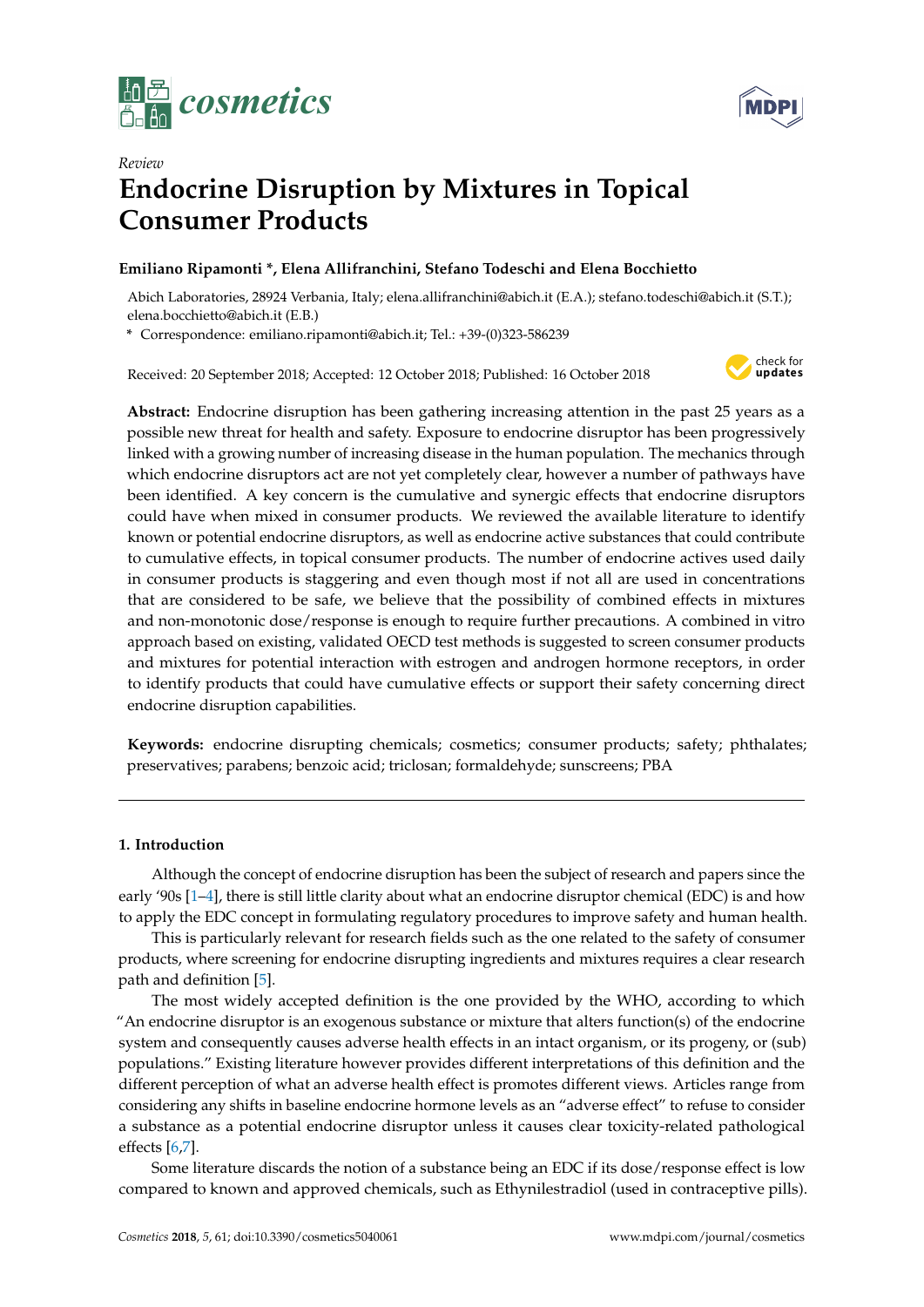



# *Review* **Endocrine Disruption by Mixtures in Topical Consumer Products**

# **Emiliano Ripamonti \*, Elena Allifranchini, Stefano Todeschi and Elena Bocchietto**

Abich Laboratories, 28924 Verbania, Italy; elena.allifranchini@abich.it (E.A.); stefano.todeschi@abich.it (S.T.); elena.bocchietto@abich.it (E.B.)

**\*** Correspondence: emiliano.ripamonti@abich.it; Tel.: +39-(0)323-586239

Received: 20 September 2018; Accepted: 12 October 2018; Published: 16 October 2018



**Abstract:** Endocrine disruption has been gathering increasing attention in the past 25 years as a possible new threat for health and safety. Exposure to endocrine disruptor has been progressively linked with a growing number of increasing disease in the human population. The mechanics through which endocrine disruptors act are not yet completely clear, however a number of pathways have been identified. A key concern is the cumulative and synergic effects that endocrine disruptors could have when mixed in consumer products. We reviewed the available literature to identify known or potential endocrine disruptors, as well as endocrine active substances that could contribute to cumulative effects, in topical consumer products. The number of endocrine actives used daily in consumer products is staggering and even though most if not all are used in concentrations that are considered to be safe, we believe that the possibility of combined effects in mixtures and non-monotonic dose/response is enough to require further precautions. A combined in vitro approach based on existing, validated OECD test methods is suggested to screen consumer products and mixtures for potential interaction with estrogen and androgen hormone receptors, in order to identify products that could have cumulative effects or support their safety concerning direct endocrine disruption capabilities.

**Keywords:** endocrine disrupting chemicals; cosmetics; consumer products; safety; phthalates; preservatives; parabens; benzoic acid; triclosan; formaldehyde; sunscreens; PBA

# **1. Introduction**

Although the concept of endocrine disruption has been the subject of research and papers since the early '90s  $[1-4]$  $[1-4]$ , there is still little clarity about what an endocrine disruptor chemical (EDC) is and how to apply the EDC concept in formulating regulatory procedures to improve safety and human health.

This is particularly relevant for research fields such as the one related to the safety of consumer products, where screening for endocrine disrupting ingredients and mixtures requires a clear research path and definition [\[5\]](#page-14-2).

The most widely accepted definition is the one provided by the WHO, according to which "An endocrine disruptor is an exogenous substance or mixture that alters function(s) of the endocrine system and consequently causes adverse health effects in an intact organism, or its progeny, or (sub) populations." Existing literature however provides different interpretations of this definition and the different perception of what an adverse health effect is promotes different views. Articles range from considering any shifts in baseline endocrine hormone levels as an "adverse effect" to refuse to consider a substance as a potential endocrine disruptor unless it causes clear toxicity-related pathological effects [\[6,](#page-14-3)[7\]](#page-14-4).

Some literature discards the notion of a substance being an EDC if its dose/response effect is low compared to known and approved chemicals, such as Ethynilestradiol (used in contraceptive pills).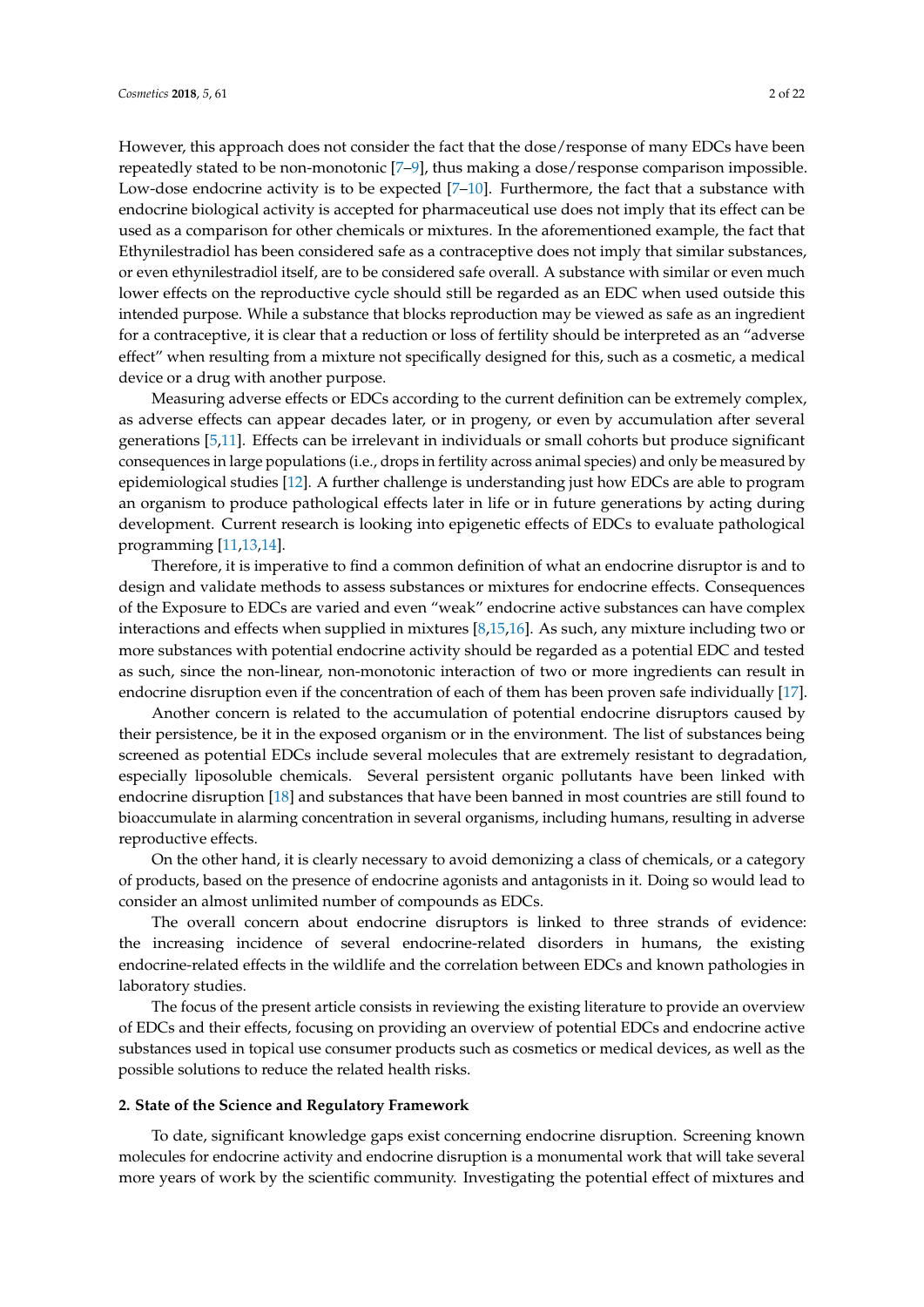However, this approach does not consider the fact that the dose/response of many EDCs have been repeatedly stated to be non-monotonic [\[7](#page-14-4)[–9\]](#page-14-5), thus making a dose/response comparison impossible. Low-dose endocrine activity is to be expected [\[7](#page-14-4)[–10\]](#page-15-0). Furthermore, the fact that a substance with endocrine biological activity is accepted for pharmaceutical use does not imply that its effect can be used as a comparison for other chemicals or mixtures. In the aforementioned example, the fact that Ethynilestradiol has been considered safe as a contraceptive does not imply that similar substances, or even ethynilestradiol itself, are to be considered safe overall. A substance with similar or even much lower effects on the reproductive cycle should still be regarded as an EDC when used outside this intended purpose. While a substance that blocks reproduction may be viewed as safe as an ingredient for a contraceptive, it is clear that a reduction or loss of fertility should be interpreted as an "adverse effect" when resulting from a mixture not specifically designed for this, such as a cosmetic, a medical device or a drug with another purpose.

Measuring adverse effects or EDCs according to the current definition can be extremely complex, as adverse effects can appear decades later, or in progeny, or even by accumulation after several generations [\[5,](#page-14-2)[11\]](#page-15-1). Effects can be irrelevant in individuals or small cohorts but produce significant consequences in large populations (i.e., drops in fertility across animal species) and only be measured by epidemiological studies [\[12\]](#page-15-2). A further challenge is understanding just how EDCs are able to program an organism to produce pathological effects later in life or in future generations by acting during development. Current research is looking into epigenetic effects of EDCs to evaluate pathological programming [\[11](#page-15-1)[,13](#page-15-3)[,14\]](#page-15-4).

Therefore, it is imperative to find a common definition of what an endocrine disruptor is and to design and validate methods to assess substances or mixtures for endocrine effects. Consequences of the Exposure to EDCs are varied and even "weak" endocrine active substances can have complex interactions and effects when supplied in mixtures [\[8,](#page-14-6)[15,](#page-15-5)[16\]](#page-15-6). As such, any mixture including two or more substances with potential endocrine activity should be regarded as a potential EDC and tested as such, since the non-linear, non-monotonic interaction of two or more ingredients can result in endocrine disruption even if the concentration of each of them has been proven safe individually [\[17\]](#page-15-7).

Another concern is related to the accumulation of potential endocrine disruptors caused by their persistence, be it in the exposed organism or in the environment. The list of substances being screened as potential EDCs include several molecules that are extremely resistant to degradation, especially liposoluble chemicals. Several persistent organic pollutants have been linked with endocrine disruption [\[18\]](#page-15-8) and substances that have been banned in most countries are still found to bioaccumulate in alarming concentration in several organisms, including humans, resulting in adverse reproductive effects.

On the other hand, it is clearly necessary to avoid demonizing a class of chemicals, or a category of products, based on the presence of endocrine agonists and antagonists in it. Doing so would lead to consider an almost unlimited number of compounds as EDCs.

The overall concern about endocrine disruptors is linked to three strands of evidence: the increasing incidence of several endocrine-related disorders in humans, the existing endocrine-related effects in the wildlife and the correlation between EDCs and known pathologies in laboratory studies.

The focus of the present article consists in reviewing the existing literature to provide an overview of EDCs and their effects, focusing on providing an overview of potential EDCs and endocrine active substances used in topical use consumer products such as cosmetics or medical devices, as well as the possible solutions to reduce the related health risks.

#### **2. State of the Science and Regulatory Framework**

To date, significant knowledge gaps exist concerning endocrine disruption. Screening known molecules for endocrine activity and endocrine disruption is a monumental work that will take several more years of work by the scientific community. Investigating the potential effect of mixtures and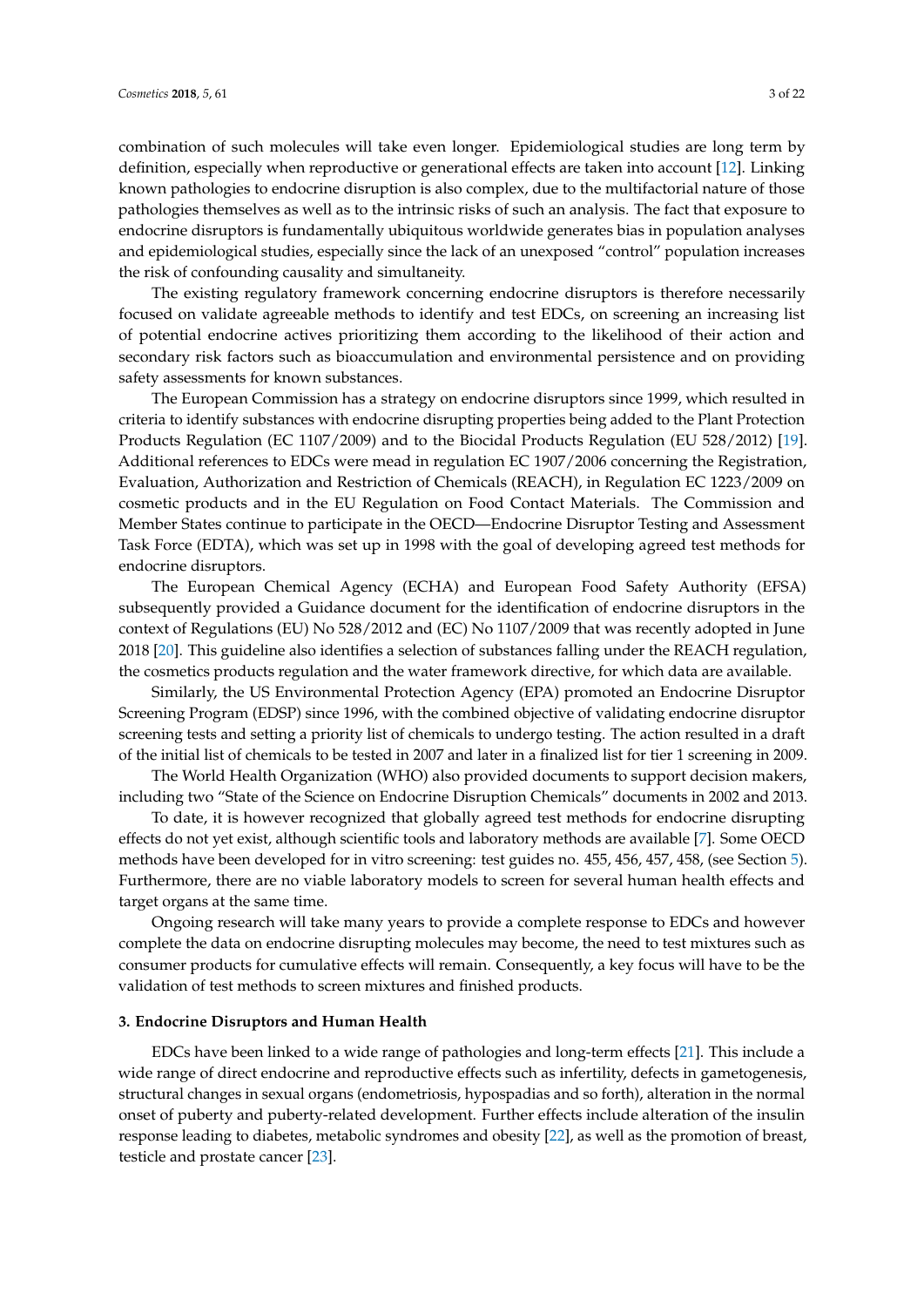combination of such molecules will take even longer. Epidemiological studies are long term by definition, especially when reproductive or generational effects are taken into account [\[12\]](#page-15-2). Linking known pathologies to endocrine disruption is also complex, due to the multifactorial nature of those pathologies themselves as well as to the intrinsic risks of such an analysis. The fact that exposure to endocrine disruptors is fundamentally ubiquitous worldwide generates bias in population analyses and epidemiological studies, especially since the lack of an unexposed "control" population increases the risk of confounding causality and simultaneity.

The existing regulatory framework concerning endocrine disruptors is therefore necessarily focused on validate agreeable methods to identify and test EDCs, on screening an increasing list of potential endocrine actives prioritizing them according to the likelihood of their action and secondary risk factors such as bioaccumulation and environmental persistence and on providing safety assessments for known substances.

The European Commission has a strategy on endocrine disruptors since 1999, which resulted in criteria to identify substances with endocrine disrupting properties being added to the Plant Protection Products Regulation (EC 1107/2009) and to the Biocidal Products Regulation (EU 528/2012) [\[19\]](#page-15-9). Additional references to EDCs were mead in regulation EC 1907/2006 concerning the Registration, Evaluation, Authorization and Restriction of Chemicals (REACH), in Regulation EC 1223/2009 on cosmetic products and in the EU Regulation on Food Contact Materials. The Commission and Member States continue to participate in the OECD—Endocrine Disruptor Testing and Assessment Task Force (EDTA), which was set up in 1998 with the goal of developing agreed test methods for endocrine disruptors.

The European Chemical Agency (ECHA) and European Food Safety Authority (EFSA) subsequently provided a Guidance document for the identification of endocrine disruptors in the context of Regulations (EU) No 528/2012 and (EC) No 1107/2009 that was recently adopted in June 2018 [\[20\]](#page-15-10). This guideline also identifies a selection of substances falling under the REACH regulation, the cosmetics products regulation and the water framework directive, for which data are available.

Similarly, the US Environmental Protection Agency (EPA) promoted an Endocrine Disruptor Screening Program (EDSP) since 1996, with the combined objective of validating endocrine disruptor screening tests and setting a priority list of chemicals to undergo testing. The action resulted in a draft of the initial list of chemicals to be tested in 2007 and later in a finalized list for tier 1 screening in 2009.

The World Health Organization (WHO) also provided documents to support decision makers, including two "State of the Science on Endocrine Disruption Chemicals" documents in 2002 and 2013.

To date, it is however recognized that globally agreed test methods for endocrine disrupting effects do not yet exist, although scientific tools and laboratory methods are available [\[7\]](#page-14-4). Some OECD methods have been developed for in vitro screening: test guides no. 455, 456, 457, 458, (see Section [5\)](#page-4-0). Furthermore, there are no viable laboratory models to screen for several human health effects and target organs at the same time.

Ongoing research will take many years to provide a complete response to EDCs and however complete the data on endocrine disrupting molecules may become, the need to test mixtures such as consumer products for cumulative effects will remain. Consequently, a key focus will have to be the validation of test methods to screen mixtures and finished products.

#### **3. Endocrine Disruptors and Human Health**

EDCs have been linked to a wide range of pathologies and long-term effects [\[21\]](#page-15-11). This include a wide range of direct endocrine and reproductive effects such as infertility, defects in gametogenesis, structural changes in sexual organs (endometriosis, hypospadias and so forth), alteration in the normal onset of puberty and puberty-related development. Further effects include alteration of the insulin response leading to diabetes, metabolic syndromes and obesity [\[22\]](#page-15-12), as well as the promotion of breast, testicle and prostate cancer [\[23\]](#page-15-13).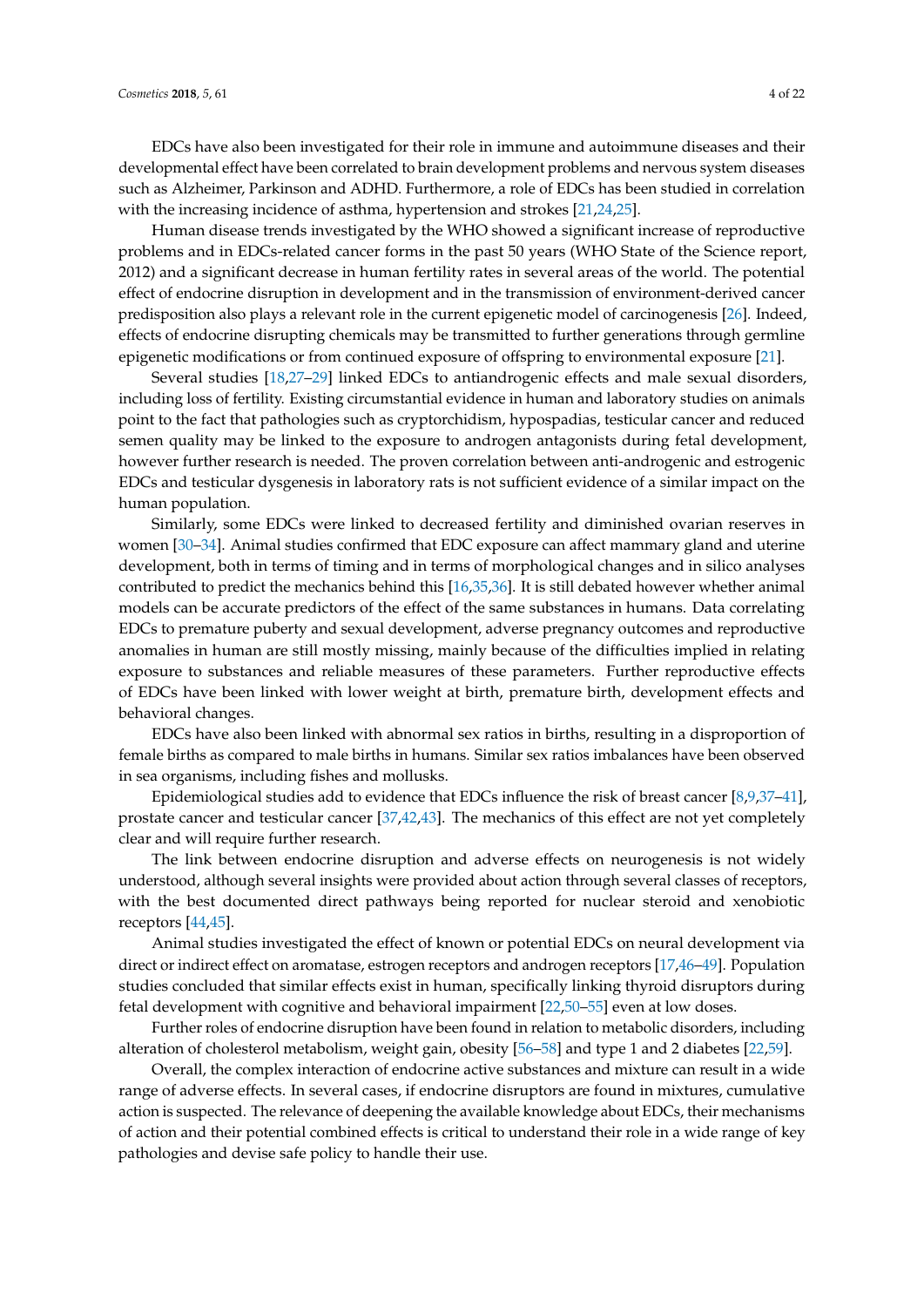EDCs have also been investigated for their role in immune and autoimmune diseases and their developmental effect have been correlated to brain development problems and nervous system diseases such as Alzheimer, Parkinson and ADHD. Furthermore, a role of EDCs has been studied in correlation with the increasing incidence of asthma, hypertension and strokes [\[21](#page-15-11)[,24](#page-15-14)[,25\]](#page-15-15).

Human disease trends investigated by the WHO showed a significant increase of reproductive problems and in EDCs-related cancer forms in the past 50 years (WHO State of the Science report, 2012) and a significant decrease in human fertility rates in several areas of the world. The potential effect of endocrine disruption in development and in the transmission of environment-derived cancer predisposition also plays a relevant role in the current epigenetic model of carcinogenesis [\[26\]](#page-15-16). Indeed, effects of endocrine disrupting chemicals may be transmitted to further generations through germline epigenetic modifications or from continued exposure of offspring to environmental exposure [\[21\]](#page-15-11).

Several studies [\[18,](#page-15-8)[27](#page-15-17)[–29\]](#page-15-18) linked EDCs to antiandrogenic effects and male sexual disorders, including loss of fertility. Existing circumstantial evidence in human and laboratory studies on animals point to the fact that pathologies such as cryptorchidism, hypospadias, testicular cancer and reduced semen quality may be linked to the exposure to androgen antagonists during fetal development, however further research is needed. The proven correlation between anti-androgenic and estrogenic EDCs and testicular dysgenesis in laboratory rats is not sufficient evidence of a similar impact on the human population.

Similarly, some EDCs were linked to decreased fertility and diminished ovarian reserves in women [\[30–](#page-16-0)[34\]](#page-16-1). Animal studies confirmed that EDC exposure can affect mammary gland and uterine development, both in terms of timing and in terms of morphological changes and in silico analyses contributed to predict the mechanics behind this [\[16](#page-15-6)[,35](#page-16-2)[,36\]](#page-16-3). It is still debated however whether animal models can be accurate predictors of the effect of the same substances in humans. Data correlating EDCs to premature puberty and sexual development, adverse pregnancy outcomes and reproductive anomalies in human are still mostly missing, mainly because of the difficulties implied in relating exposure to substances and reliable measures of these parameters. Further reproductive effects of EDCs have been linked with lower weight at birth, premature birth, development effects and behavioral changes.

EDCs have also been linked with abnormal sex ratios in births, resulting in a disproportion of female births as compared to male births in humans. Similar sex ratios imbalances have been observed in sea organisms, including fishes and mollusks.

Epidemiological studies add to evidence that EDCs influence the risk of breast cancer [\[8,](#page-14-6)[9](#page-14-5)[,37](#page-16-4)[–41\]](#page-16-5), prostate cancer and testicular cancer [\[37](#page-16-4)[,42](#page-16-6)[,43\]](#page-16-7). The mechanics of this effect are not yet completely clear and will require further research.

The link between endocrine disruption and adverse effects on neurogenesis is not widely understood, although several insights were provided about action through several classes of receptors, with the best documented direct pathways being reported for nuclear steroid and xenobiotic receptors [\[44](#page-16-8)[,45\]](#page-16-9).

Animal studies investigated the effect of known or potential EDCs on neural development via direct or indirect effect on aromatase, estrogen receptors and androgen receptors [\[17,](#page-15-7)[46](#page-16-10)[–49\]](#page-17-0). Population studies concluded that similar effects exist in human, specifically linking thyroid disruptors during fetal development with cognitive and behavioral impairment [\[22](#page-15-12)[,50–](#page-17-1)[55\]](#page-17-2) even at low doses.

Further roles of endocrine disruption have been found in relation to metabolic disorders, including alteration of cholesterol metabolism, weight gain, obesity [\[56–](#page-17-3)[58\]](#page-17-4) and type 1 and 2 diabetes [\[22,](#page-15-12)[59\]](#page-17-5).

Overall, the complex interaction of endocrine active substances and mixture can result in a wide range of adverse effects. In several cases, if endocrine disruptors are found in mixtures, cumulative action is suspected. The relevance of deepening the available knowledge about EDCs, their mechanisms of action and their potential combined effects is critical to understand their role in a wide range of key pathologies and devise safe policy to handle their use.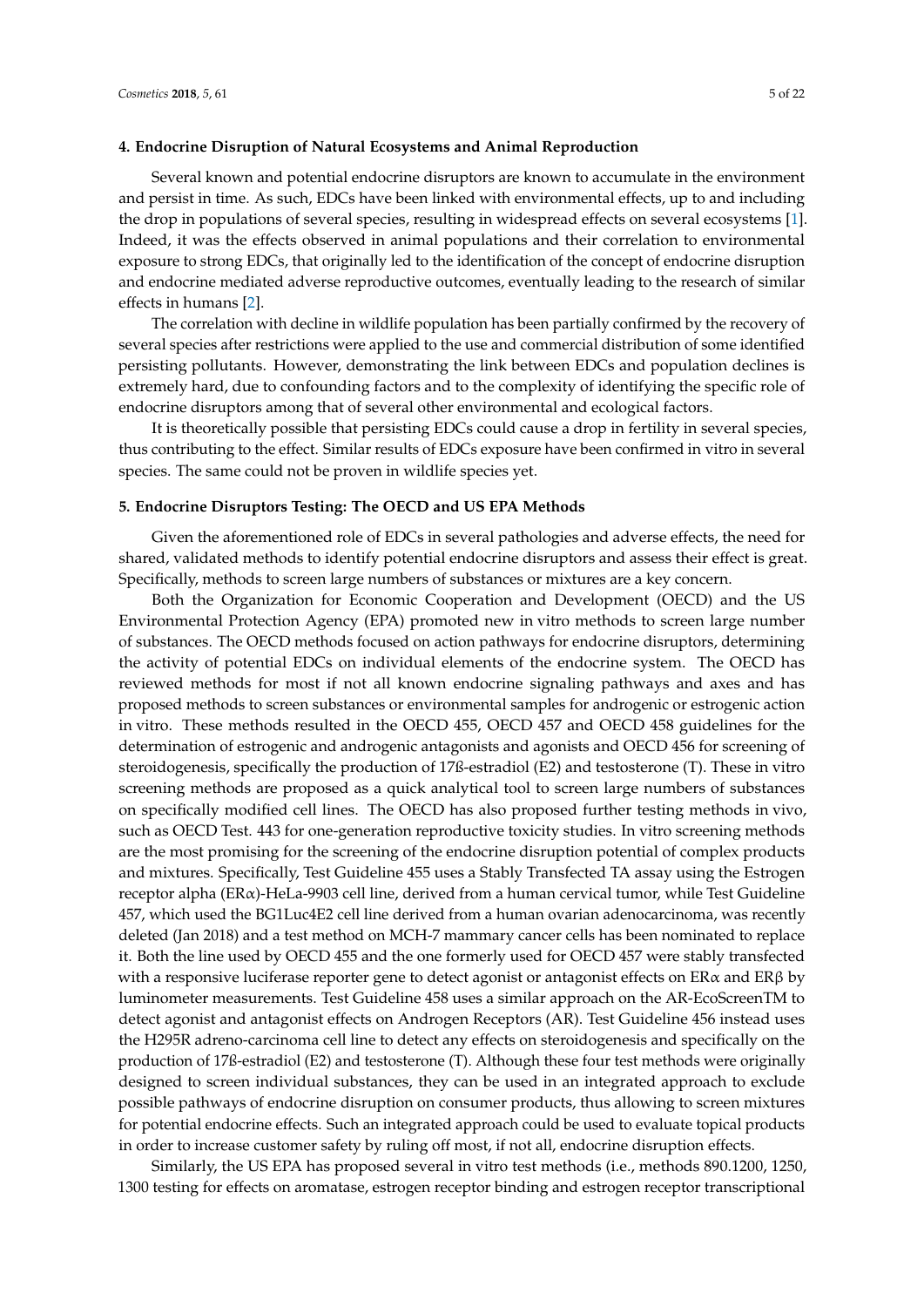## **4. Endocrine Disruption of Natural Ecosystems and Animal Reproduction**

Several known and potential endocrine disruptors are known to accumulate in the environment and persist in time. As such, EDCs have been linked with environmental effects, up to and including the drop in populations of several species, resulting in widespread effects on several ecosystems [\[1\]](#page-14-0). Indeed, it was the effects observed in animal populations and their correlation to environmental exposure to strong EDCs, that originally led to the identification of the concept of endocrine disruption and endocrine mediated adverse reproductive outcomes, eventually leading to the research of similar effects in humans [\[2\]](#page-14-7).

The correlation with decline in wildlife population has been partially confirmed by the recovery of several species after restrictions were applied to the use and commercial distribution of some identified persisting pollutants. However, demonstrating the link between EDCs and population declines is extremely hard, due to confounding factors and to the complexity of identifying the specific role of endocrine disruptors among that of several other environmental and ecological factors.

It is theoretically possible that persisting EDCs could cause a drop in fertility in several species, thus contributing to the effect. Similar results of EDCs exposure have been confirmed in vitro in several species. The same could not be proven in wildlife species yet.

#### <span id="page-4-0"></span>**5. Endocrine Disruptors Testing: The OECD and US EPA Methods**

Given the aforementioned role of EDCs in several pathologies and adverse effects, the need for shared, validated methods to identify potential endocrine disruptors and assess their effect is great. Specifically, methods to screen large numbers of substances or mixtures are a key concern.

Both the Organization for Economic Cooperation and Development (OECD) and the US Environmental Protection Agency (EPA) promoted new in vitro methods to screen large number of substances. The OECD methods focused on action pathways for endocrine disruptors, determining the activity of potential EDCs on individual elements of the endocrine system. The OECD has reviewed methods for most if not all known endocrine signaling pathways and axes and has proposed methods to screen substances or environmental samples for androgenic or estrogenic action in vitro. These methods resulted in the OECD 455, OECD 457 and OECD 458 guidelines for the determination of estrogenic and androgenic antagonists and agonists and OECD 456 for screening of steroidogenesis, specifically the production of 17ß-estradiol (E2) and testosterone (T). These in vitro screening methods are proposed as a quick analytical tool to screen large numbers of substances on specifically modified cell lines. The OECD has also proposed further testing methods in vivo, such as OECD Test. 443 for one-generation reproductive toxicity studies. In vitro screening methods are the most promising for the screening of the endocrine disruption potential of complex products and mixtures. Specifically, Test Guideline 455 uses a Stably Transfected TA assay using the Estrogen receptor alpha (ERα)-HeLa-9903 cell line, derived from a human cervical tumor, while Test Guideline 457, which used the BG1Luc4E2 cell line derived from a human ovarian adenocarcinoma, was recently deleted (Jan 2018) and a test method on MCH-7 mammary cancer cells has been nominated to replace it. Both the line used by OECD 455 and the one formerly used for OECD 457 were stably transfected with a responsive luciferase reporter gene to detect agonist or antagonist effects on  $ER\alpha$  and  $ER\beta$  by luminometer measurements. Test Guideline 458 uses a similar approach on the AR-EcoScreenTM to detect agonist and antagonist effects on Androgen Receptors (AR). Test Guideline 456 instead uses the H295R adreno-carcinoma cell line to detect any effects on steroidogenesis and specifically on the production of 17ß-estradiol (E2) and testosterone (T). Although these four test methods were originally designed to screen individual substances, they can be used in an integrated approach to exclude possible pathways of endocrine disruption on consumer products, thus allowing to screen mixtures for potential endocrine effects. Such an integrated approach could be used to evaluate topical products in order to increase customer safety by ruling off most, if not all, endocrine disruption effects.

Similarly, the US EPA has proposed several in vitro test methods (i.e., methods 890.1200, 1250, 1300 testing for effects on aromatase, estrogen receptor binding and estrogen receptor transcriptional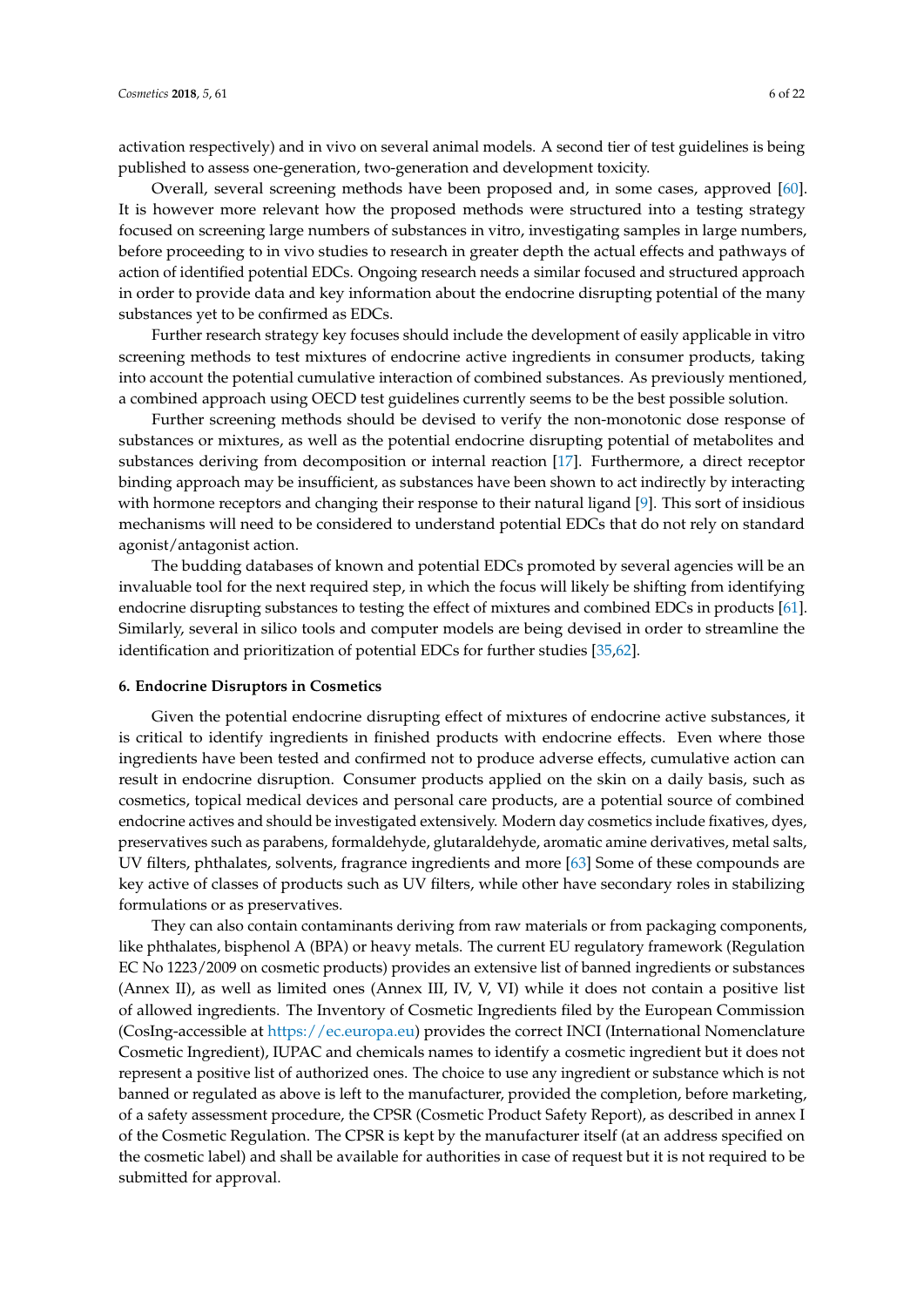activation respectively) and in vivo on several animal models. A second tier of test guidelines is being published to assess one-generation, two-generation and development toxicity.

Overall, several screening methods have been proposed and, in some cases, approved [\[60\]](#page-17-6). It is however more relevant how the proposed methods were structured into a testing strategy focused on screening large numbers of substances in vitro, investigating samples in large numbers, before proceeding to in vivo studies to research in greater depth the actual effects and pathways of action of identified potential EDCs. Ongoing research needs a similar focused and structured approach in order to provide data and key information about the endocrine disrupting potential of the many substances yet to be confirmed as EDCs.

Further research strategy key focuses should include the development of easily applicable in vitro screening methods to test mixtures of endocrine active ingredients in consumer products, taking into account the potential cumulative interaction of combined substances. As previously mentioned, a combined approach using OECD test guidelines currently seems to be the best possible solution.

Further screening methods should be devised to verify the non-monotonic dose response of substances or mixtures, as well as the potential endocrine disrupting potential of metabolites and substances deriving from decomposition or internal reaction [\[17\]](#page-15-7). Furthermore, a direct receptor binding approach may be insufficient, as substances have been shown to act indirectly by interacting with hormone receptors and changing their response to their natural ligand [\[9\]](#page-14-5). This sort of insidious mechanisms will need to be considered to understand potential EDCs that do not rely on standard agonist/antagonist action.

The budding databases of known and potential EDCs promoted by several agencies will be an invaluable tool for the next required step, in which the focus will likely be shifting from identifying endocrine disrupting substances to testing the effect of mixtures and combined EDCs in products [\[61\]](#page-17-7). Similarly, several in silico tools and computer models are being devised in order to streamline the identification and prioritization of potential EDCs for further studies [\[35](#page-16-2)[,62\]](#page-17-8).

#### **6. Endocrine Disruptors in Cosmetics**

Given the potential endocrine disrupting effect of mixtures of endocrine active substances, it is critical to identify ingredients in finished products with endocrine effects. Even where those ingredients have been tested and confirmed not to produce adverse effects, cumulative action can result in endocrine disruption. Consumer products applied on the skin on a daily basis, such as cosmetics, topical medical devices and personal care products, are a potential source of combined endocrine actives and should be investigated extensively. Modern day cosmetics include fixatives, dyes, preservatives such as parabens, formaldehyde, glutaraldehyde, aromatic amine derivatives, metal salts, UV filters, phthalates, solvents, fragrance ingredients and more [\[63\]](#page-17-9) Some of these compounds are key active of classes of products such as UV filters, while other have secondary roles in stabilizing formulations or as preservatives.

They can also contain contaminants deriving from raw materials or from packaging components, like phthalates, bisphenol A (BPA) or heavy metals. The current EU regulatory framework (Regulation EC No 1223/2009 on cosmetic products) provides an extensive list of banned ingredients or substances (Annex II), as well as limited ones (Annex III, IV, V, VI) while it does not contain a positive list of allowed ingredients. The Inventory of Cosmetic Ingredients filed by the European Commission (CosIng-accessible at [https://ec.europa.eu\)](https://ec.europa.eu) provides the correct INCI (International Nomenclature Cosmetic Ingredient), IUPAC and chemicals names to identify a cosmetic ingredient but it does not represent a positive list of authorized ones. The choice to use any ingredient or substance which is not banned or regulated as above is left to the manufacturer, provided the completion, before marketing, of a safety assessment procedure, the CPSR (Cosmetic Product Safety Report), as described in annex I of the Cosmetic Regulation. The CPSR is kept by the manufacturer itself (at an address specified on the cosmetic label) and shall be available for authorities in case of request but it is not required to be submitted for approval.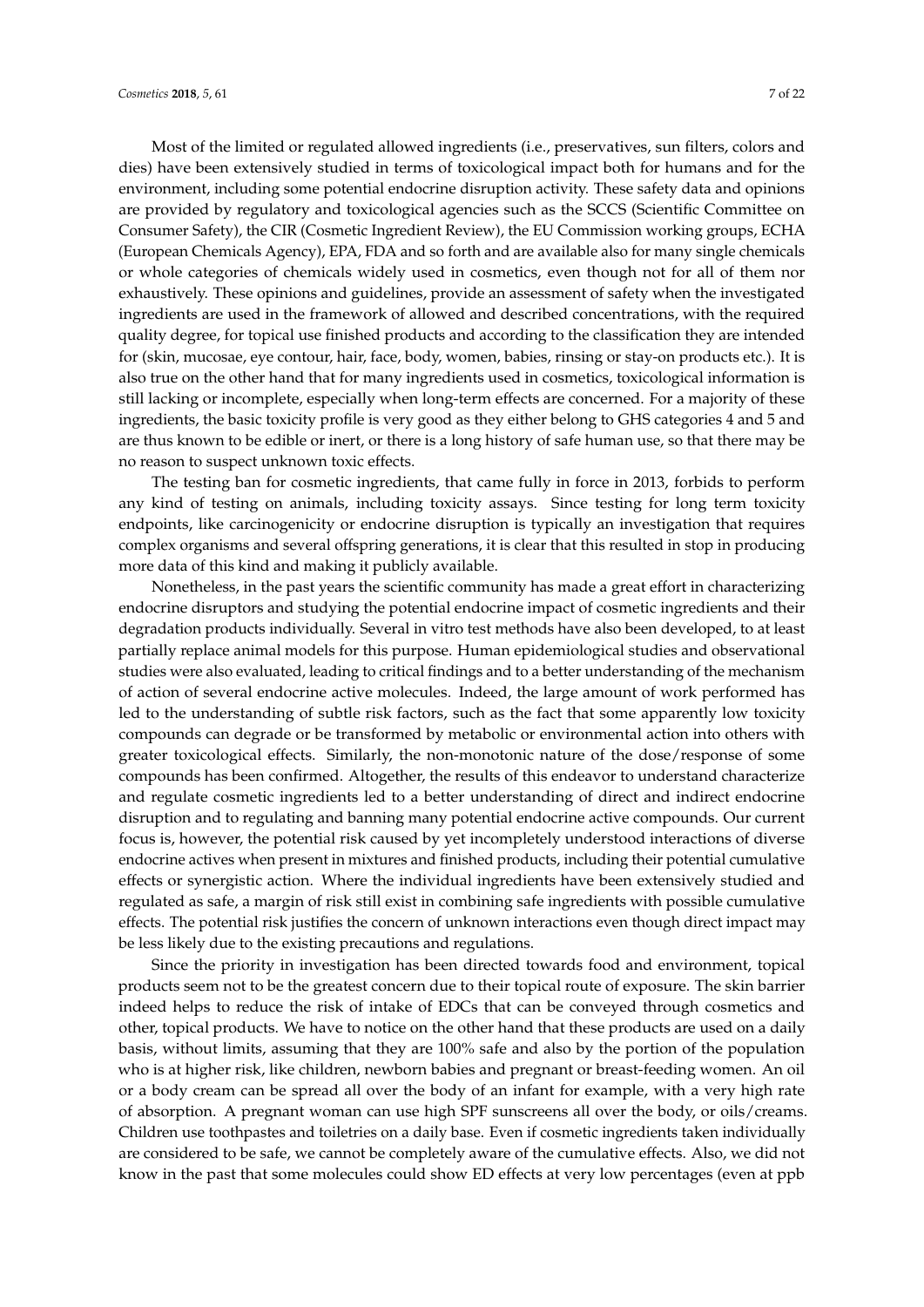Most of the limited or regulated allowed ingredients (i.e., preservatives, sun filters, colors and dies) have been extensively studied in terms of toxicological impact both for humans and for the environment, including some potential endocrine disruption activity. These safety data and opinions are provided by regulatory and toxicological agencies such as the SCCS (Scientific Committee on Consumer Safety), the CIR (Cosmetic Ingredient Review), the EU Commission working groups, ECHA (European Chemicals Agency), EPA, FDA and so forth and are available also for many single chemicals or whole categories of chemicals widely used in cosmetics, even though not for all of them nor exhaustively. These opinions and guidelines, provide an assessment of safety when the investigated ingredients are used in the framework of allowed and described concentrations, with the required quality degree, for topical use finished products and according to the classification they are intended for (skin, mucosae, eye contour, hair, face, body, women, babies, rinsing or stay-on products etc.). It is also true on the other hand that for many ingredients used in cosmetics, toxicological information is still lacking or incomplete, especially when long-term effects are concerned. For a majority of these ingredients, the basic toxicity profile is very good as they either belong to GHS categories 4 and 5 and are thus known to be edible or inert, or there is a long history of safe human use, so that there may be no reason to suspect unknown toxic effects.

The testing ban for cosmetic ingredients, that came fully in force in 2013, forbids to perform any kind of testing on animals, including toxicity assays. Since testing for long term toxicity endpoints, like carcinogenicity or endocrine disruption is typically an investigation that requires complex organisms and several offspring generations, it is clear that this resulted in stop in producing more data of this kind and making it publicly available.

Nonetheless, in the past years the scientific community has made a great effort in characterizing endocrine disruptors and studying the potential endocrine impact of cosmetic ingredients and their degradation products individually. Several in vitro test methods have also been developed, to at least partially replace animal models for this purpose. Human epidemiological studies and observational studies were also evaluated, leading to critical findings and to a better understanding of the mechanism of action of several endocrine active molecules. Indeed, the large amount of work performed has led to the understanding of subtle risk factors, such as the fact that some apparently low toxicity compounds can degrade or be transformed by metabolic or environmental action into others with greater toxicological effects. Similarly, the non-monotonic nature of the dose/response of some compounds has been confirmed. Altogether, the results of this endeavor to understand characterize and regulate cosmetic ingredients led to a better understanding of direct and indirect endocrine disruption and to regulating and banning many potential endocrine active compounds. Our current focus is, however, the potential risk caused by yet incompletely understood interactions of diverse endocrine actives when present in mixtures and finished products, including their potential cumulative effects or synergistic action. Where the individual ingredients have been extensively studied and regulated as safe, a margin of risk still exist in combining safe ingredients with possible cumulative effects. The potential risk justifies the concern of unknown interactions even though direct impact may be less likely due to the existing precautions and regulations.

Since the priority in investigation has been directed towards food and environment, topical products seem not to be the greatest concern due to their topical route of exposure. The skin barrier indeed helps to reduce the risk of intake of EDCs that can be conveyed through cosmetics and other, topical products. We have to notice on the other hand that these products are used on a daily basis, without limits, assuming that they are 100% safe and also by the portion of the population who is at higher risk, like children, newborn babies and pregnant or breast-feeding women. An oil or a body cream can be spread all over the body of an infant for example, with a very high rate of absorption. A pregnant woman can use high SPF sunscreens all over the body, or oils/creams. Children use toothpastes and toiletries on a daily base. Even if cosmetic ingredients taken individually are considered to be safe, we cannot be completely aware of the cumulative effects. Also, we did not know in the past that some molecules could show ED effects at very low percentages (even at ppb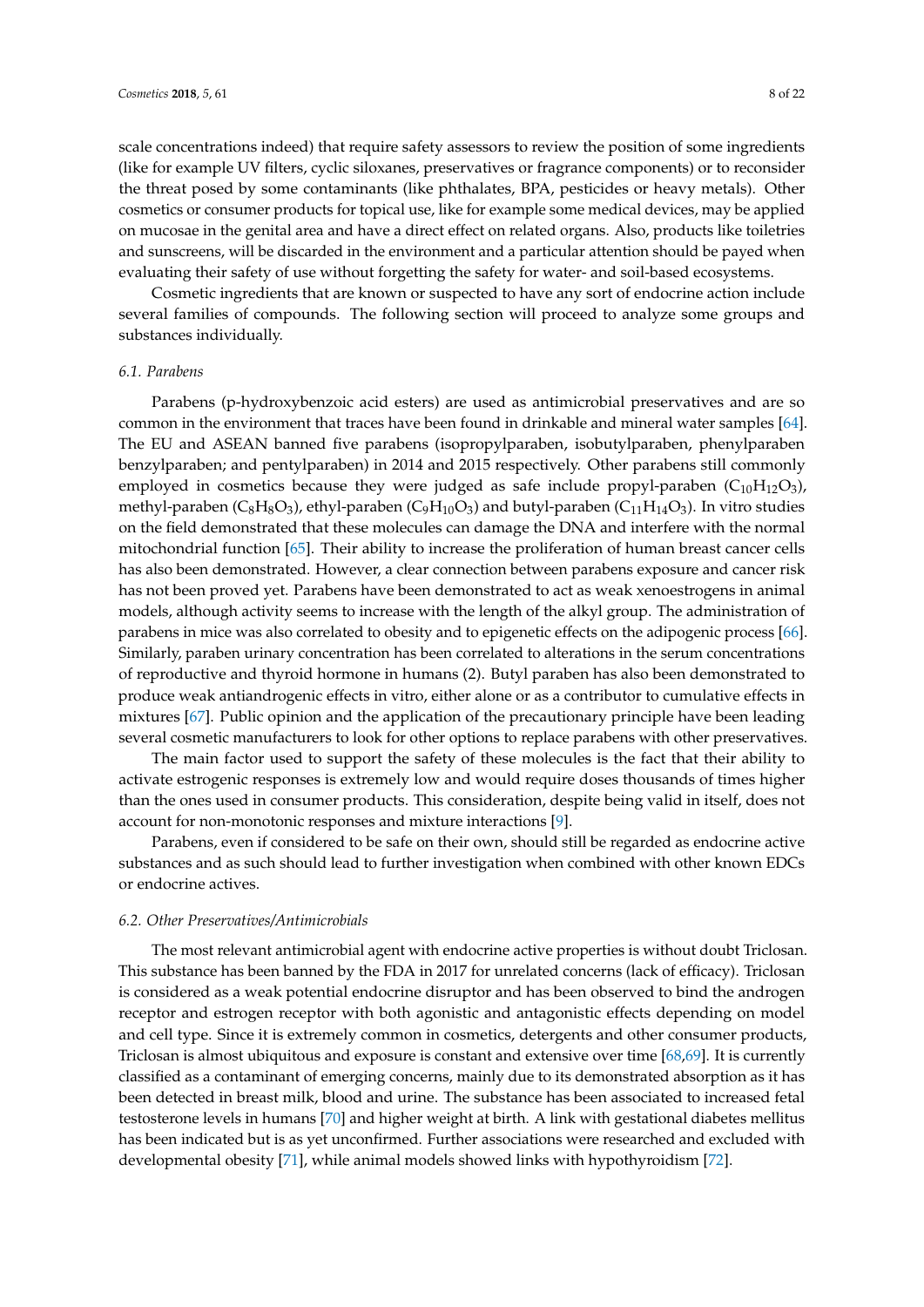scale concentrations indeed) that require safety assessors to review the position of some ingredients (like for example UV filters, cyclic siloxanes, preservatives or fragrance components) or to reconsider the threat posed by some contaminants (like phthalates, BPA, pesticides or heavy metals). Other cosmetics or consumer products for topical use, like for example some medical devices, may be applied on mucosae in the genital area and have a direct effect on related organs. Also, products like toiletries and sunscreens, will be discarded in the environment and a particular attention should be payed when evaluating their safety of use without forgetting the safety for water- and soil-based ecosystems.

Cosmetic ingredients that are known or suspected to have any sort of endocrine action include several families of compounds. The following section will proceed to analyze some groups and substances individually.

#### *6.1. Parabens*

Parabens (p-hydroxybenzoic acid esters) are used as antimicrobial preservatives and are so common in the environment that traces have been found in drinkable and mineral water samples [\[64\]](#page-17-10). The EU and ASEAN banned five parabens (isopropylparaben, isobutylparaben, phenylparaben benzylparaben; and pentylparaben) in 2014 and 2015 respectively. Other parabens still commonly employed in cosmetics because they were judged as safe include propyl-paraben  $(C_{10}H_{12}O_3)$ , methyl-paraben (C<sub>8</sub>H<sub>8</sub>O<sub>3</sub>), ethyl-paraben (C<sub>9</sub>H<sub>10</sub>O<sub>3</sub>) and butyl-paraben (C<sub>11</sub>H<sub>14</sub>O<sub>3</sub>). In vitro studies on the field demonstrated that these molecules can damage the DNA and interfere with the normal mitochondrial function [\[65\]](#page-17-11). Their ability to increase the proliferation of human breast cancer cells has also been demonstrated. However, a clear connection between parabens exposure and cancer risk has not been proved yet. Parabens have been demonstrated to act as weak xenoestrogens in animal models, although activity seems to increase with the length of the alkyl group. The administration of parabens in mice was also correlated to obesity and to epigenetic effects on the adipogenic process [\[66\]](#page-17-12). Similarly, paraben urinary concentration has been correlated to alterations in the serum concentrations of reproductive and thyroid hormone in humans (2). Butyl paraben has also been demonstrated to produce weak antiandrogenic effects in vitro, either alone or as a contributor to cumulative effects in mixtures [\[67\]](#page-17-13). Public opinion and the application of the precautionary principle have been leading several cosmetic manufacturers to look for other options to replace parabens with other preservatives.

The main factor used to support the safety of these molecules is the fact that their ability to activate estrogenic responses is extremely low and would require doses thousands of times higher than the ones used in consumer products. This consideration, despite being valid in itself, does not account for non-monotonic responses and mixture interactions [\[9\]](#page-14-5).

Parabens, even if considered to be safe on their own, should still be regarded as endocrine active substances and as such should lead to further investigation when combined with other known EDCs or endocrine actives.

#### *6.2. Other Preservatives/Antimicrobials*

The most relevant antimicrobial agent with endocrine active properties is without doubt Triclosan. This substance has been banned by the FDA in 2017 for unrelated concerns (lack of efficacy). Triclosan is considered as a weak potential endocrine disruptor and has been observed to bind the androgen receptor and estrogen receptor with both agonistic and antagonistic effects depending on model and cell type. Since it is extremely common in cosmetics, detergents and other consumer products, Triclosan is almost ubiquitous and exposure is constant and extensive over time [\[68](#page-18-0)[,69\]](#page-18-1). It is currently classified as a contaminant of emerging concerns, mainly due to its demonstrated absorption as it has been detected in breast milk, blood and urine. The substance has been associated to increased fetal testosterone levels in humans [\[70\]](#page-18-2) and higher weight at birth. A link with gestational diabetes mellitus has been indicated but is as yet unconfirmed. Further associations were researched and excluded with developmental obesity [\[71\]](#page-18-3), while animal models showed links with hypothyroidism [\[72\]](#page-18-4).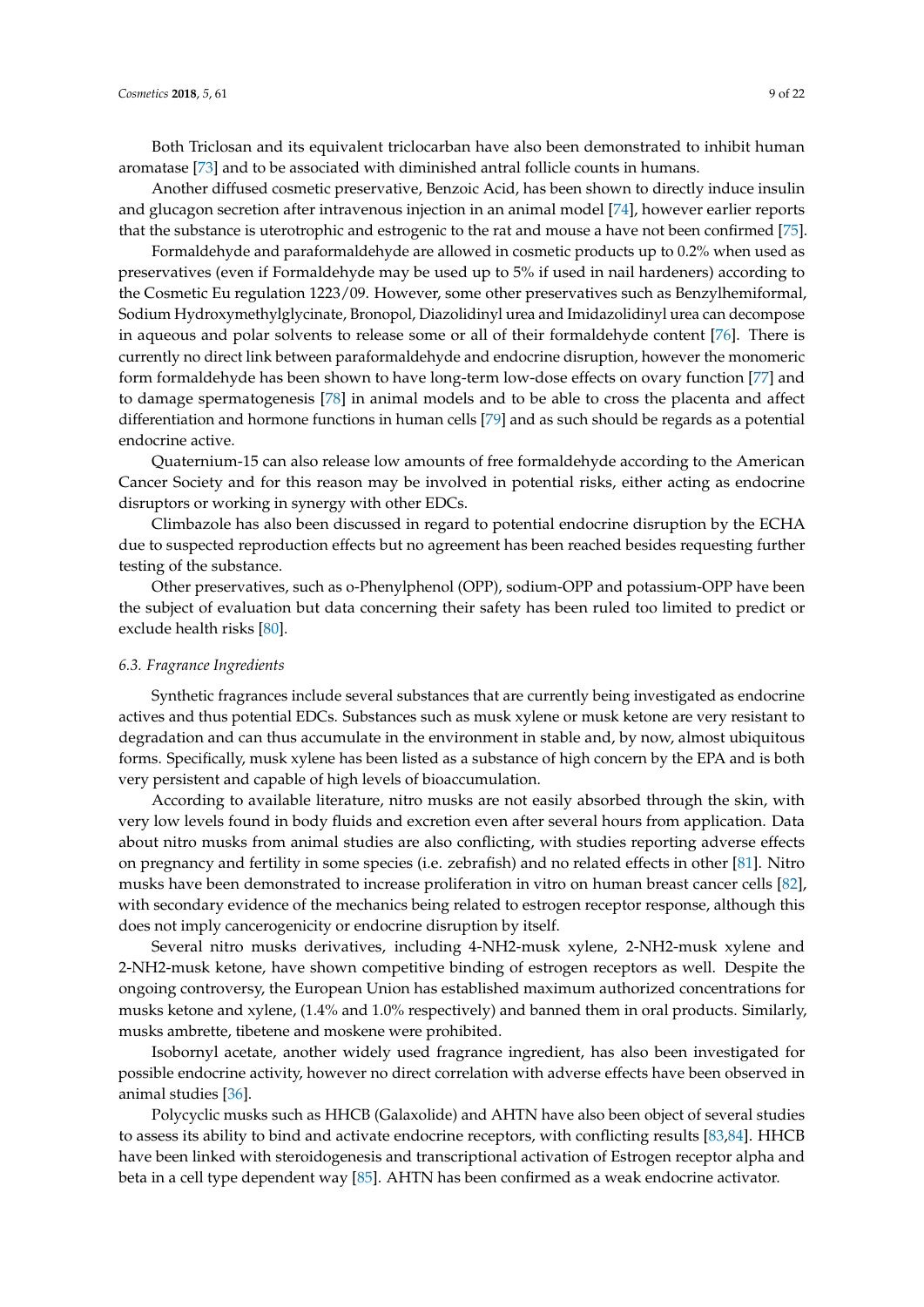Both Triclosan and its equivalent triclocarban have also been demonstrated to inhibit human aromatase [\[73\]](#page-18-5) and to be associated with diminished antral follicle counts in humans.

Another diffused cosmetic preservative, Benzoic Acid, has been shown to directly induce insulin and glucagon secretion after intravenous injection in an animal model [\[74\]](#page-18-6), however earlier reports that the substance is uterotrophic and estrogenic to the rat and mouse a have not been confirmed [\[75\]](#page-18-7).

Formaldehyde and paraformaldehyde are allowed in cosmetic products up to 0.2% when used as preservatives (even if Formaldehyde may be used up to 5% if used in nail hardeners) according to the Cosmetic Eu regulation 1223/09. However, some other preservatives such as Benzylhemiformal, Sodium Hydroxymethylglycinate, Bronopol, Diazolidinyl urea and Imidazolidinyl urea can decompose in aqueous and polar solvents to release some or all of their formaldehyde content [\[76\]](#page-18-8). There is currently no direct link between paraformaldehyde and endocrine disruption, however the monomeric form formaldehyde has been shown to have long-term low-dose effects on ovary function [\[77\]](#page-18-9) and to damage spermatogenesis [\[78\]](#page-18-10) in animal models and to be able to cross the placenta and affect differentiation and hormone functions in human cells [\[79\]](#page-18-11) and as such should be regards as a potential endocrine active.

Quaternium-15 can also release low amounts of free formaldehyde according to the American Cancer Society and for this reason may be involved in potential risks, either acting as endocrine disruptors or working in synergy with other EDCs.

Climbazole has also been discussed in regard to potential endocrine disruption by the ECHA due to suspected reproduction effects but no agreement has been reached besides requesting further testing of the substance.

Other preservatives, such as o-Phenylphenol (OPP), sodium-OPP and potassium-OPP have been the subject of evaluation but data concerning their safety has been ruled too limited to predict or exclude health risks [\[80\]](#page-18-12).

#### *6.3. Fragrance Ingredients*

Synthetic fragrances include several substances that are currently being investigated as endocrine actives and thus potential EDCs. Substances such as musk xylene or musk ketone are very resistant to degradation and can thus accumulate in the environment in stable and, by now, almost ubiquitous forms. Specifically, musk xylene has been listed as a substance of high concern by the EPA and is both very persistent and capable of high levels of bioaccumulation.

According to available literature, nitro musks are not easily absorbed through the skin, with very low levels found in body fluids and excretion even after several hours from application. Data about nitro musks from animal studies are also conflicting, with studies reporting adverse effects on pregnancy and fertility in some species (i.e. zebrafish) and no related effects in other [\[81\]](#page-18-13). Nitro musks have been demonstrated to increase proliferation in vitro on human breast cancer cells [\[82\]](#page-18-14), with secondary evidence of the mechanics being related to estrogen receptor response, although this does not imply cancerogenicity or endocrine disruption by itself.

Several nitro musks derivatives, including 4-NH2-musk xylene, 2-NH2-musk xylene and 2-NH2-musk ketone, have shown competitive binding of estrogen receptors as well. Despite the ongoing controversy, the European Union has established maximum authorized concentrations for musks ketone and xylene, (1.4% and 1.0% respectively) and banned them in oral products. Similarly, musks ambrette, tibetene and moskene were prohibited.

Isobornyl acetate, another widely used fragrance ingredient, has also been investigated for possible endocrine activity, however no direct correlation with adverse effects have been observed in animal studies [\[36\]](#page-16-3).

Polycyclic musks such as HHCB (Galaxolide) and AHTN have also been object of several studies to assess its ability to bind and activate endocrine receptors, with conflicting results [\[83,](#page-18-15)[84\]](#page-18-16). HHCB have been linked with steroidogenesis and transcriptional activation of Estrogen receptor alpha and beta in a cell type dependent way [\[85\]](#page-18-17). AHTN has been confirmed as a weak endocrine activator.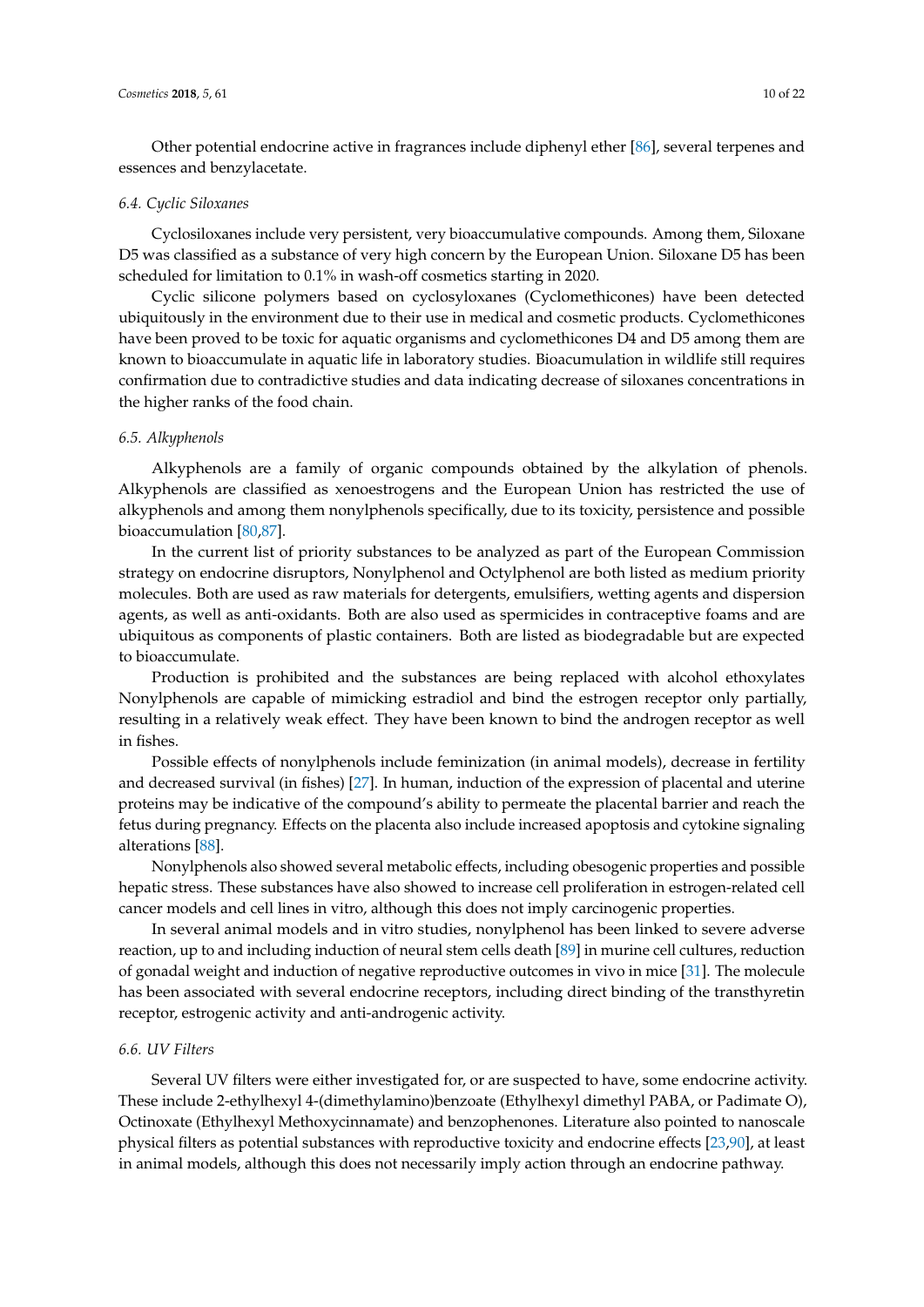Other potential endocrine active in fragrances include diphenyl ether [\[86\]](#page-19-0), several terpenes and essences and benzylacetate.

## *6.4. Cyclic Siloxanes*

Cyclosiloxanes include very persistent, very bioaccumulative compounds. Among them, Siloxane D5 was classified as a substance of very high concern by the European Union. Siloxane D5 has been scheduled for limitation to 0.1% in wash-off cosmetics starting in 2020.

Cyclic silicone polymers based on cyclosyloxanes (Cyclomethicones) have been detected ubiquitously in the environment due to their use in medical and cosmetic products. Cyclomethicones have been proved to be toxic for aquatic organisms and cyclomethicones D4 and D5 among them are known to bioaccumulate in aquatic life in laboratory studies. Bioacumulation in wildlife still requires confirmation due to contradictive studies and data indicating decrease of siloxanes concentrations in the higher ranks of the food chain.

# *6.5. Alkyphenols*

Alkyphenols are a family of organic compounds obtained by the alkylation of phenols. Alkyphenols are classified as xenoestrogens and the European Union has restricted the use of alkyphenols and among them nonylphenols specifically, due to its toxicity, persistence and possible bioaccumulation [\[80,](#page-18-12)[87\]](#page-19-1).

In the current list of priority substances to be analyzed as part of the European Commission strategy on endocrine disruptors, Nonylphenol and Octylphenol are both listed as medium priority molecules. Both are used as raw materials for detergents, emulsifiers, wetting agents and dispersion agents, as well as anti-oxidants. Both are also used as spermicides in contraceptive foams and are ubiquitous as components of plastic containers. Both are listed as biodegradable but are expected to bioaccumulate.

Production is prohibited and the substances are being replaced with alcohol ethoxylates Nonylphenols are capable of mimicking estradiol and bind the estrogen receptor only partially, resulting in a relatively weak effect. They have been known to bind the androgen receptor as well in fishes.

Possible effects of nonylphenols include feminization (in animal models), decrease in fertility and decreased survival (in fishes) [\[27\]](#page-15-17). In human, induction of the expression of placental and uterine proteins may be indicative of the compound's ability to permeate the placental barrier and reach the fetus during pregnancy. Effects on the placenta also include increased apoptosis and cytokine signaling alterations [\[88\]](#page-19-2).

Nonylphenols also showed several metabolic effects, including obesogenic properties and possible hepatic stress. These substances have also showed to increase cell proliferation in estrogen-related cell cancer models and cell lines in vitro, although this does not imply carcinogenic properties.

In several animal models and in vitro studies, nonylphenol has been linked to severe adverse reaction, up to and including induction of neural stem cells death [\[89\]](#page-19-3) in murine cell cultures, reduction of gonadal weight and induction of negative reproductive outcomes in vivo in mice [\[31\]](#page-16-11). The molecule has been associated with several endocrine receptors, including direct binding of the transthyretin receptor, estrogenic activity and anti-androgenic activity.

# *6.6. UV Filters*

Several UV filters were either investigated for, or are suspected to have, some endocrine activity. These include 2-ethylhexyl 4-(dimethylamino)benzoate (Ethylhexyl dimethyl PABA, or Padimate O), Octinoxate (Ethylhexyl Methoxycinnamate) and benzophenones. Literature also pointed to nanoscale physical filters as potential substances with reproductive toxicity and endocrine effects [\[23,](#page-15-13)[90\]](#page-19-4), at least in animal models, although this does not necessarily imply action through an endocrine pathway.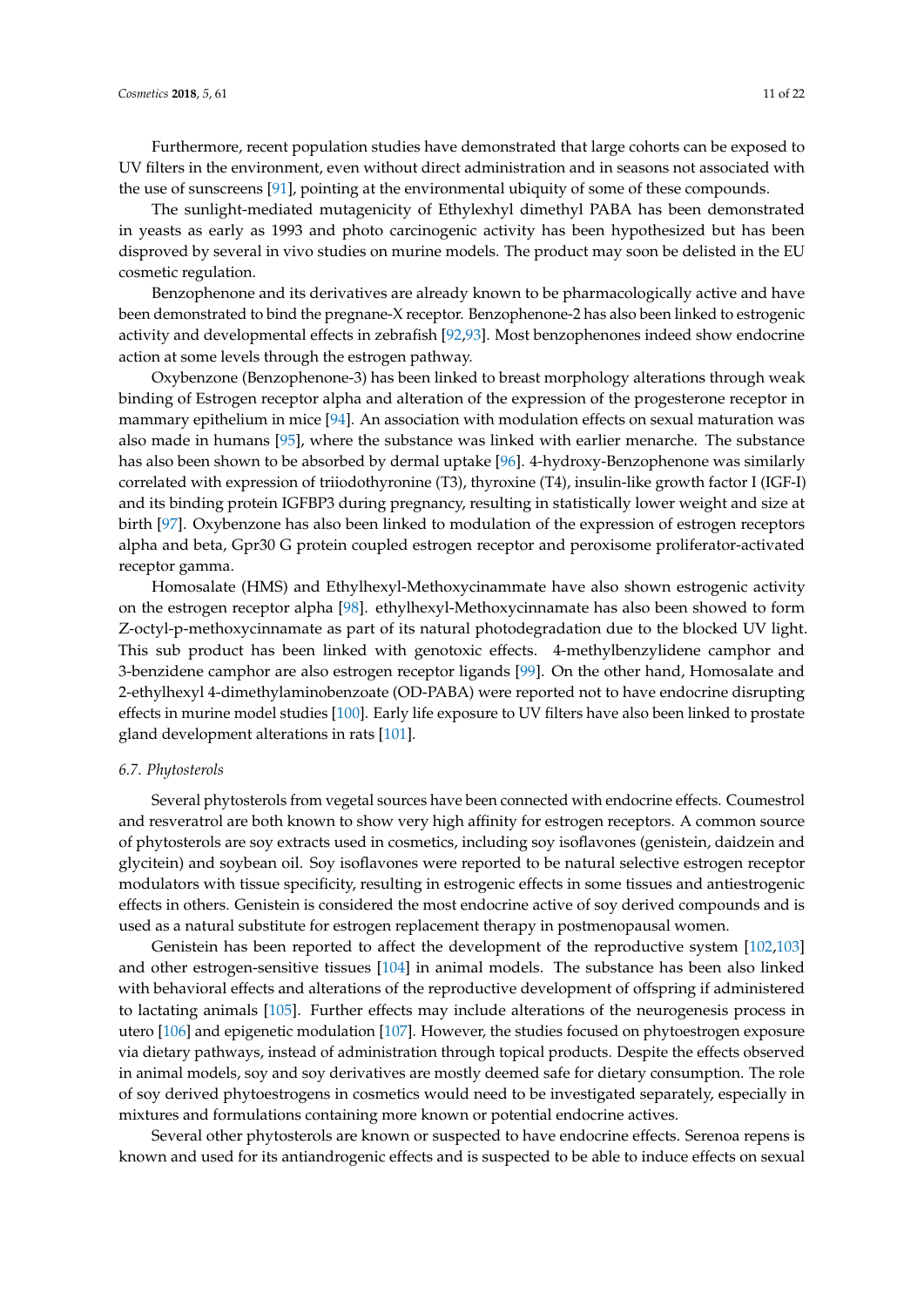Furthermore, recent population studies have demonstrated that large cohorts can be exposed to UV filters in the environment, even without direct administration and in seasons not associated with the use of sunscreens [\[91\]](#page-19-5), pointing at the environmental ubiquity of some of these compounds.

The sunlight-mediated mutagenicity of Ethylexhyl dimethyl PABA has been demonstrated in yeasts as early as 1993 and photo carcinogenic activity has been hypothesized but has been disproved by several in vivo studies on murine models. The product may soon be delisted in the EU cosmetic regulation.

Benzophenone and its derivatives are already known to be pharmacologically active and have been demonstrated to bind the pregnane-X receptor. Benzophenone-2 has also been linked to estrogenic activity and developmental effects in zebrafish [\[92,](#page-19-6)[93\]](#page-19-7). Most benzophenones indeed show endocrine action at some levels through the estrogen pathway.

Oxybenzone (Benzophenone-3) has been linked to breast morphology alterations through weak binding of Estrogen receptor alpha and alteration of the expression of the progesterone receptor in mammary epithelium in mice [\[94\]](#page-19-8). An association with modulation effects on sexual maturation was also made in humans [\[95\]](#page-19-9), where the substance was linked with earlier menarche. The substance has also been shown to be absorbed by dermal uptake [\[96\]](#page-19-10). 4-hydroxy-Benzophenone was similarly correlated with expression of triiodothyronine (T3), thyroxine (T4), insulin-like growth factor I (IGF-I) and its binding protein IGFBP3 during pregnancy, resulting in statistically lower weight and size at birth [\[97\]](#page-19-11). Oxybenzone has also been linked to modulation of the expression of estrogen receptors alpha and beta, Gpr30 G protein coupled estrogen receptor and peroxisome proliferator-activated receptor gamma.

Homosalate (HMS) and Ethylhexyl-Methoxycinammate have also shown estrogenic activity on the estrogen receptor alpha [\[98\]](#page-19-12). ethylhexyl-Methoxycinnamate has also been showed to form Z-octyl-p-methoxycinnamate as part of its natural photodegradation due to the blocked UV light. This sub product has been linked with genotoxic effects. 4-methylbenzylidene camphor and 3-benzidene camphor are also estrogen receptor ligands [\[99\]](#page-19-13). On the other hand, Homosalate and 2-ethylhexyl 4-dimethylaminobenzoate (OD-PABA) were reported not to have endocrine disrupting effects in murine model studies [\[100\]](#page-19-14). Early life exposure to UV filters have also been linked to prostate gland development alterations in rats [\[101\]](#page-19-15).

# *6.7. Phytosterols*

Several phytosterols from vegetal sources have been connected with endocrine effects. Coumestrol and resveratrol are both known to show very high affinity for estrogen receptors. A common source of phytosterols are soy extracts used in cosmetics, including soy isoflavones (genistein, daidzein and glycitein) and soybean oil. Soy isoflavones were reported to be natural selective estrogen receptor modulators with tissue specificity, resulting in estrogenic effects in some tissues and antiestrogenic effects in others. Genistein is considered the most endocrine active of soy derived compounds and is used as a natural substitute for estrogen replacement therapy in postmenopausal women.

Genistein has been reported to affect the development of the reproductive system [\[102](#page-19-16)[,103\]](#page-20-0) and other estrogen-sensitive tissues [\[104\]](#page-20-1) in animal models. The substance has been also linked with behavioral effects and alterations of the reproductive development of offspring if administered to lactating animals [\[105\]](#page-20-2). Further effects may include alterations of the neurogenesis process in utero [\[106\]](#page-20-3) and epigenetic modulation [\[107\]](#page-20-4). However, the studies focused on phytoestrogen exposure via dietary pathways, instead of administration through topical products. Despite the effects observed in animal models, soy and soy derivatives are mostly deemed safe for dietary consumption. The role of soy derived phytoestrogens in cosmetics would need to be investigated separately, especially in mixtures and formulations containing more known or potential endocrine actives.

Several other phytosterols are known or suspected to have endocrine effects. Serenoa repens is known and used for its antiandrogenic effects and is suspected to be able to induce effects on sexual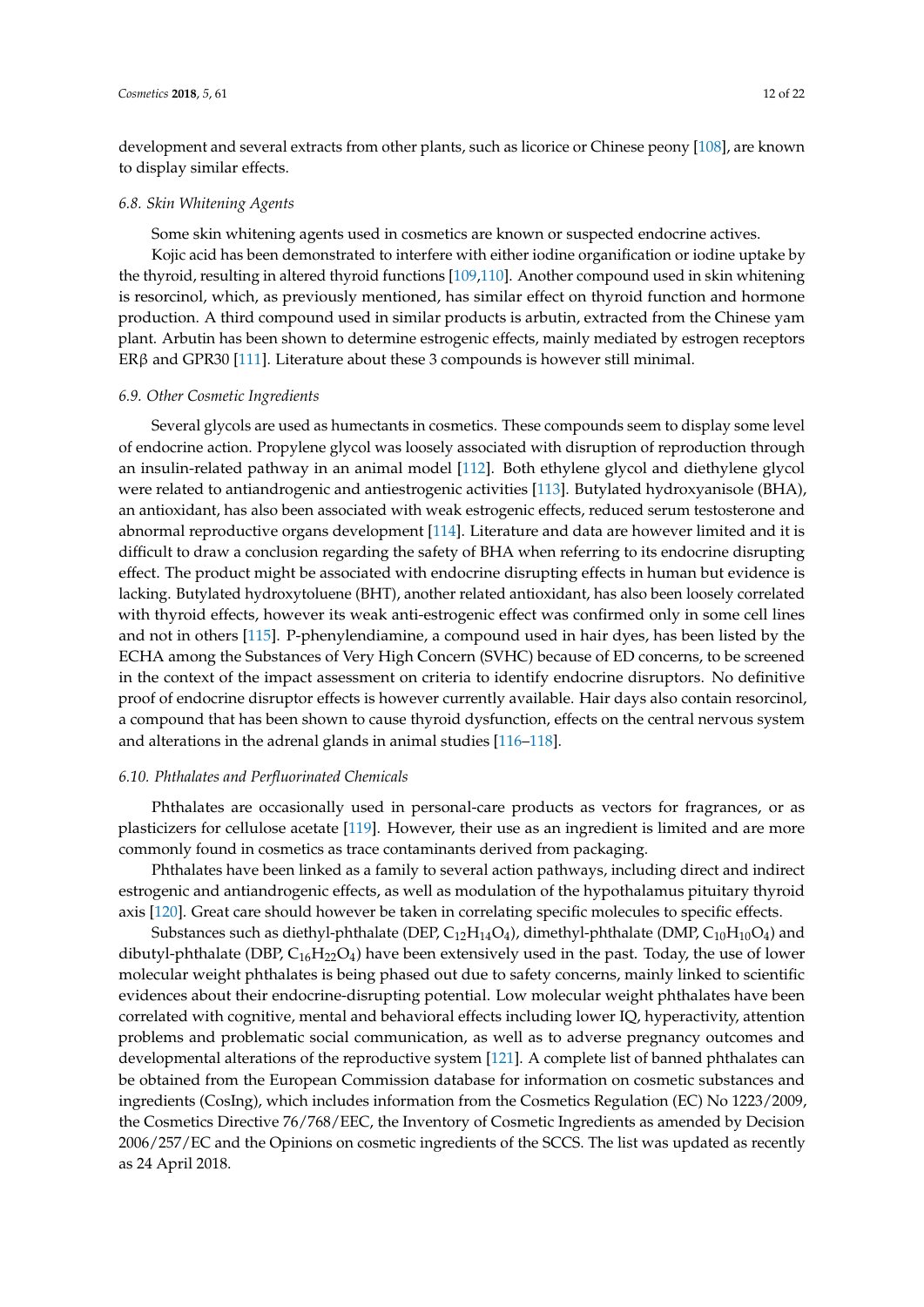development and several extracts from other plants, such as licorice or Chinese peony [\[108\]](#page-20-5), are known to display similar effects.

#### *6.8. Skin Whitening Agents*

Some skin whitening agents used in cosmetics are known or suspected endocrine actives.

Kojic acid has been demonstrated to interfere with either iodine organification or iodine uptake by the thyroid, resulting in altered thyroid functions [\[109](#page-20-6)[,110\]](#page-20-7). Another compound used in skin whitening is resorcinol, which, as previously mentioned, has similar effect on thyroid function and hormone production. A third compound used in similar products is arbutin, extracted from the Chinese yam plant. Arbutin has been shown to determine estrogenic effects, mainly mediated by estrogen receptors ER $\beta$  and GPR30 [\[111\]](#page-20-8). Literature about these 3 compounds is however still minimal.

#### *6.9. Other Cosmetic Ingredients*

Several glycols are used as humectants in cosmetics. These compounds seem to display some level of endocrine action. Propylene glycol was loosely associated with disruption of reproduction through an insulin-related pathway in an animal model [\[112\]](#page-20-9). Both ethylene glycol and diethylene glycol were related to antiandrogenic and antiestrogenic activities [\[113\]](#page-20-10). Butylated hydroxyanisole (BHA), an antioxidant, has also been associated with weak estrogenic effects, reduced serum testosterone and abnormal reproductive organs development [\[114\]](#page-20-11). Literature and data are however limited and it is difficult to draw a conclusion regarding the safety of BHA when referring to its endocrine disrupting effect. The product might be associated with endocrine disrupting effects in human but evidence is lacking. Butylated hydroxytoluene (BHT), another related antioxidant, has also been loosely correlated with thyroid effects, however its weak anti-estrogenic effect was confirmed only in some cell lines and not in others [\[115\]](#page-20-12). P-phenylendiamine, a compound used in hair dyes, has been listed by the ECHA among the Substances of Very High Concern (SVHC) because of ED concerns, to be screened in the context of the impact assessment on criteria to identify endocrine disruptors. No definitive proof of endocrine disruptor effects is however currently available. Hair days also contain resorcinol, a compound that has been shown to cause thyroid dysfunction, effects on the central nervous system and alterations in the adrenal glands in animal studies [\[116](#page-20-13)[–118\]](#page-20-14).

# *6.10. Phthalates and Perfluorinated Chemicals*

Phthalates are occasionally used in personal-care products as vectors for fragrances, or as plasticizers for cellulose acetate [\[119\]](#page-20-15). However, their use as an ingredient is limited and are more commonly found in cosmetics as trace contaminants derived from packaging.

Phthalates have been linked as a family to several action pathways, including direct and indirect estrogenic and antiandrogenic effects, as well as modulation of the hypothalamus pituitary thyroid axis [\[120\]](#page-20-16). Great care should however be taken in correlating specific molecules to specific effects.

Substances such as diethyl-phthalate (DEP,  $C_{12}H_{14}O_4$ ), dimethyl-phthalate (DMP,  $C_{10}H_{10}O_4$ ) and dibutyl-phthalate (DBP,  $C_{16}H_{22}O_4$ ) have been extensively used in the past. Today, the use of lower molecular weight phthalates is being phased out due to safety concerns, mainly linked to scientific evidences about their endocrine-disrupting potential. Low molecular weight phthalates have been correlated with cognitive, mental and behavioral effects including lower IQ, hyperactivity, attention problems and problematic social communication, as well as to adverse pregnancy outcomes and developmental alterations of the reproductive system [\[121\]](#page-20-17). A complete list of banned phthalates can be obtained from the European Commission database for information on cosmetic substances and ingredients (CosIng), which includes information from the Cosmetics Regulation (EC) No 1223/2009, the Cosmetics Directive 76/768/EEC, the Inventory of Cosmetic Ingredients as amended by Decision 2006/257/EC and the Opinions on cosmetic ingredients of the SCCS. The list was updated as recently as 24 April 2018.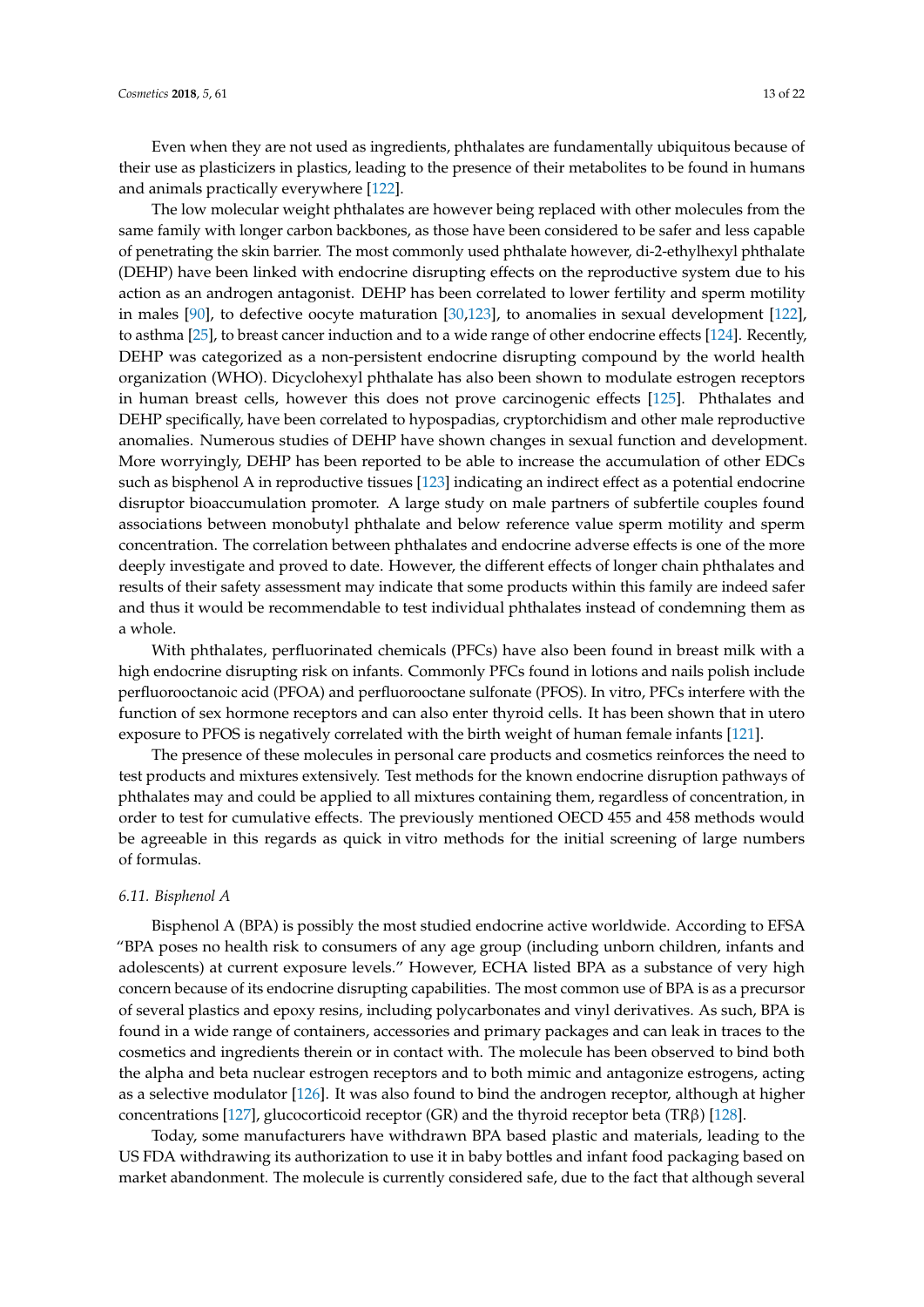Even when they are not used as ingredients, phthalates are fundamentally ubiquitous because of their use as plasticizers in plastics, leading to the presence of their metabolites to be found in humans and animals practically everywhere [\[122\]](#page-20-18).

The low molecular weight phthalates are however being replaced with other molecules from the same family with longer carbon backbones, as those have been considered to be safer and less capable of penetrating the skin barrier. The most commonly used phthalate however, di-2-ethylhexyl phthalate (DEHP) have been linked with endocrine disrupting effects on the reproductive system due to his action as an androgen antagonist. DEHP has been correlated to lower fertility and sperm motility in males [\[90\]](#page-19-4), to defective oocyte maturation [\[30,](#page-16-0)[123\]](#page-21-0), to anomalies in sexual development [\[122\]](#page-20-18), to asthma [\[25\]](#page-15-15), to breast cancer induction and to a wide range of other endocrine effects [\[124\]](#page-21-1). Recently, DEHP was categorized as a non-persistent endocrine disrupting compound by the world health organization (WHO). Dicyclohexyl phthalate has also been shown to modulate estrogen receptors in human breast cells, however this does not prove carcinogenic effects [\[125\]](#page-21-2). Phthalates and DEHP specifically, have been correlated to hypospadias, cryptorchidism and other male reproductive anomalies. Numerous studies of DEHP have shown changes in sexual function and development. More worryingly, DEHP has been reported to be able to increase the accumulation of other EDCs such as bisphenol A in reproductive tissues [\[123\]](#page-21-0) indicating an indirect effect as a potential endocrine disruptor bioaccumulation promoter. A large study on male partners of subfertile couples found associations between monobutyl phthalate and below reference value sperm motility and sperm concentration. The correlation between phthalates and endocrine adverse effects is one of the more deeply investigate and proved to date. However, the different effects of longer chain phthalates and results of their safety assessment may indicate that some products within this family are indeed safer and thus it would be recommendable to test individual phthalates instead of condemning them as a whole.

With phthalates, perfluorinated chemicals (PFCs) have also been found in breast milk with a high endocrine disrupting risk on infants. Commonly PFCs found in lotions and nails polish include perfluorooctanoic acid (PFOA) and perfluorooctane sulfonate (PFOS). In vitro, PFCs interfere with the function of sex hormone receptors and can also enter thyroid cells. It has been shown that in utero exposure to PFOS is negatively correlated with the birth weight of human female infants [\[121\]](#page-20-17).

The presence of these molecules in personal care products and cosmetics reinforces the need to test products and mixtures extensively. Test methods for the known endocrine disruption pathways of phthalates may and could be applied to all mixtures containing them, regardless of concentration, in order to test for cumulative effects. The previously mentioned OECD 455 and 458 methods would be agreeable in this regards as quick in vitro methods for the initial screening of large numbers of formulas.

# *6.11. Bisphenol A*

Bisphenol A (BPA) is possibly the most studied endocrine active worldwide. According to EFSA "BPA poses no health risk to consumers of any age group (including unborn children, infants and adolescents) at current exposure levels." However, ECHA listed BPA as a substance of very high concern because of its endocrine disrupting capabilities. The most common use of BPA is as a precursor of several plastics and epoxy resins, including polycarbonates and vinyl derivatives. As such, BPA is found in a wide range of containers, accessories and primary packages and can leak in traces to the cosmetics and ingredients therein or in contact with. The molecule has been observed to bind both the alpha and beta nuclear estrogen receptors and to both mimic and antagonize estrogens, acting as a selective modulator [\[126\]](#page-21-3). It was also found to bind the androgen receptor, although at higher concentrations [\[127\]](#page-21-4), glucocorticoid receptor (GR) and the thyroid receptor beta (TRβ) [\[128\]](#page-21-5).

Today, some manufacturers have withdrawn BPA based plastic and materials, leading to the US FDA withdrawing its authorization to use it in baby bottles and infant food packaging based on market abandonment. The molecule is currently considered safe, due to the fact that although several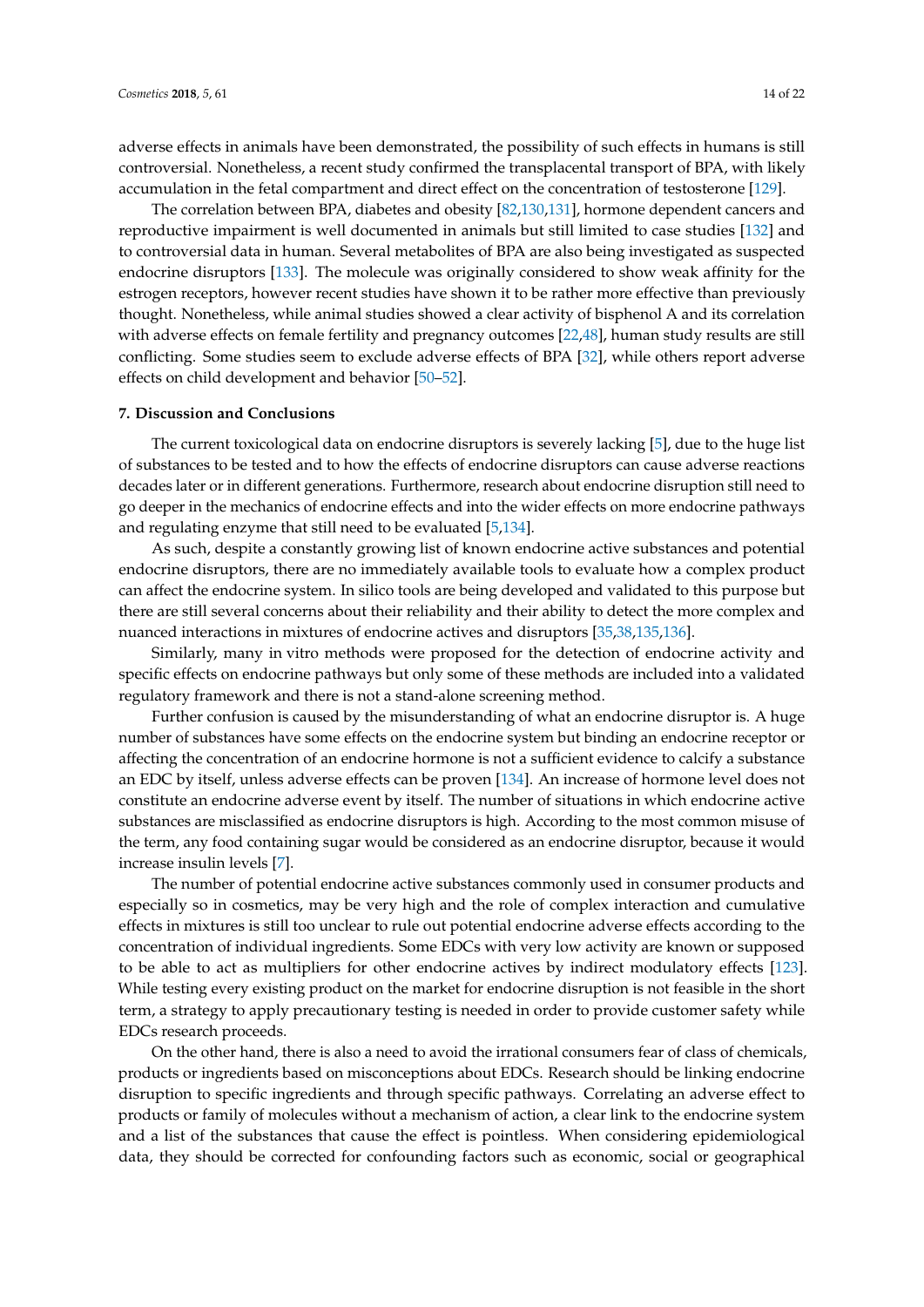adverse effects in animals have been demonstrated, the possibility of such effects in humans is still controversial. Nonetheless, a recent study confirmed the transplacental transport of BPA, with likely accumulation in the fetal compartment and direct effect on the concentration of testosterone [\[129\]](#page-21-6).

The correlation between BPA, diabetes and obesity [\[82](#page-18-14)[,130](#page-21-7)[,131\]](#page-21-8), hormone dependent cancers and reproductive impairment is well documented in animals but still limited to case studies [\[132\]](#page-21-9) and to controversial data in human. Several metabolites of BPA are also being investigated as suspected endocrine disruptors [\[133\]](#page-21-10). The molecule was originally considered to show weak affinity for the estrogen receptors, however recent studies have shown it to be rather more effective than previously thought. Nonetheless, while animal studies showed a clear activity of bisphenol A and its correlation with adverse effects on female fertility and pregnancy outcomes [\[22,](#page-15-12)[48\]](#page-17-14), human study results are still conflicting. Some studies seem to exclude adverse effects of BPA [\[32\]](#page-16-12), while others report adverse effects on child development and behavior [\[50](#page-17-1)[–52\]](#page-17-15).

# **7. Discussion and Conclusions**

The current toxicological data on endocrine disruptors is severely lacking [\[5\]](#page-14-2), due to the huge list of substances to be tested and to how the effects of endocrine disruptors can cause adverse reactions decades later or in different generations. Furthermore, research about endocrine disruption still need to go deeper in the mechanics of endocrine effects and into the wider effects on more endocrine pathways and regulating enzyme that still need to be evaluated [\[5](#page-14-2)[,134\]](#page-21-11).

As such, despite a constantly growing list of known endocrine active substances and potential endocrine disruptors, there are no immediately available tools to evaluate how a complex product can affect the endocrine system. In silico tools are being developed and validated to this purpose but there are still several concerns about their reliability and their ability to detect the more complex and nuanced interactions in mixtures of endocrine actives and disruptors [\[35](#page-16-2)[,38](#page-16-13)[,135](#page-21-12)[,136\]](#page-21-13).

Similarly, many in vitro methods were proposed for the detection of endocrine activity and specific effects on endocrine pathways but only some of these methods are included into a validated regulatory framework and there is not a stand-alone screening method.

Further confusion is caused by the misunderstanding of what an endocrine disruptor is. A huge number of substances have some effects on the endocrine system but binding an endocrine receptor or affecting the concentration of an endocrine hormone is not a sufficient evidence to calcify a substance an EDC by itself, unless adverse effects can be proven [\[134\]](#page-21-11). An increase of hormone level does not constitute an endocrine adverse event by itself. The number of situations in which endocrine active substances are misclassified as endocrine disruptors is high. According to the most common misuse of the term, any food containing sugar would be considered as an endocrine disruptor, because it would increase insulin levels [\[7\]](#page-14-4).

The number of potential endocrine active substances commonly used in consumer products and especially so in cosmetics, may be very high and the role of complex interaction and cumulative effects in mixtures is still too unclear to rule out potential endocrine adverse effects according to the concentration of individual ingredients. Some EDCs with very low activity are known or supposed to be able to act as multipliers for other endocrine actives by indirect modulatory effects [\[123\]](#page-21-0). While testing every existing product on the market for endocrine disruption is not feasible in the short term, a strategy to apply precautionary testing is needed in order to provide customer safety while EDCs research proceeds.

On the other hand, there is also a need to avoid the irrational consumers fear of class of chemicals, products or ingredients based on misconceptions about EDCs. Research should be linking endocrine disruption to specific ingredients and through specific pathways. Correlating an adverse effect to products or family of molecules without a mechanism of action, a clear link to the endocrine system and a list of the substances that cause the effect is pointless. When considering epidemiological data, they should be corrected for confounding factors such as economic, social or geographical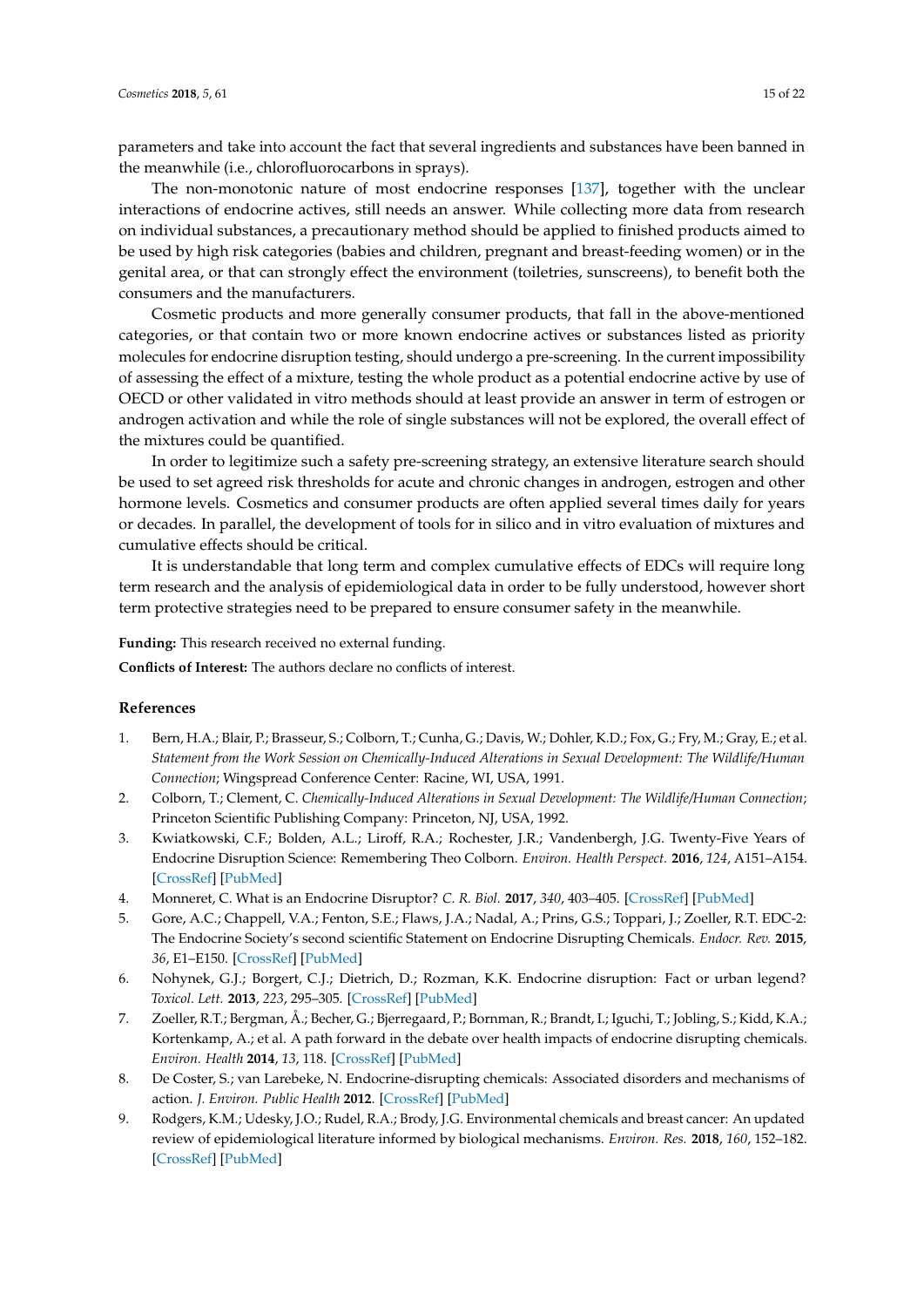parameters and take into account the fact that several ingredients and substances have been banned in the meanwhile (i.e., chlorofluorocarbons in sprays).

The non-monotonic nature of most endocrine responses [\[137\]](#page-21-14), together with the unclear interactions of endocrine actives, still needs an answer. While collecting more data from research on individual substances, a precautionary method should be applied to finished products aimed to be used by high risk categories (babies and children, pregnant and breast-feeding women) or in the genital area, or that can strongly effect the environment (toiletries, sunscreens), to benefit both the consumers and the manufacturers.

Cosmetic products and more generally consumer products, that fall in the above-mentioned categories, or that contain two or more known endocrine actives or substances listed as priority molecules for endocrine disruption testing, should undergo a pre-screening. In the current impossibility of assessing the effect of a mixture, testing the whole product as a potential endocrine active by use of OECD or other validated in vitro methods should at least provide an answer in term of estrogen or androgen activation and while the role of single substances will not be explored, the overall effect of the mixtures could be quantified.

In order to legitimize such a safety pre-screening strategy, an extensive literature search should be used to set agreed risk thresholds for acute and chronic changes in androgen, estrogen and other hormone levels. Cosmetics and consumer products are often applied several times daily for years or decades. In parallel, the development of tools for in silico and in vitro evaluation of mixtures and cumulative effects should be critical.

It is understandable that long term and complex cumulative effects of EDCs will require long term research and the analysis of epidemiological data in order to be fully understood, however short term protective strategies need to be prepared to ensure consumer safety in the meanwhile.

**Funding:** This research received no external funding.

**Conflicts of Interest:** The authors declare no conflicts of interest.

#### **References**

- <span id="page-14-0"></span>1. Bern, H.A.; Blair, P.; Brasseur, S.; Colborn, T.; Cunha, G.; Davis, W.; Dohler, K.D.; Fox, G.; Fry, M.; Gray, E.; et al. *Statement from the Work Session on Chemically-Induced Alterations in Sexual Development: The Wildlife/Human Connection*; Wingspread Conference Center: Racine, WI, USA, 1991.
- <span id="page-14-7"></span>2. Colborn, T.; Clement, C. *Chemically-Induced Alterations in Sexual Development: The Wildlife/Human Connection*; Princeton Scientific Publishing Company: Princeton, NJ, USA, 1992.
- 3. Kwiatkowski, C.F.; Bolden, A.L.; Liroff, R.A.; Rochester, J.R.; Vandenbergh, J.G. Twenty-Five Years of Endocrine Disruption Science: Remembering Theo Colborn. *Environ. Health Perspect.* **2016**, *124*, A151–A154. [\[CrossRef\]](http://dx.doi.org/10.1289/EHP746) [\[PubMed\]](http://www.ncbi.nlm.nih.gov/pubmed/27580976)
- <span id="page-14-1"></span>4. Monneret, C. What is an Endocrine Disruptor? *C. R. Biol.* **2017**, *340*, 403–405. [\[CrossRef\]](http://dx.doi.org/10.1016/j.crvi.2017.07.004) [\[PubMed\]](http://www.ncbi.nlm.nih.gov/pubmed/29126512)
- <span id="page-14-2"></span>5. Gore, A.C.; Chappell, V.A.; Fenton, S.E.; Flaws, J.A.; Nadal, A.; Prins, G.S.; Toppari, J.; Zoeller, R.T. EDC-2: The Endocrine Society's second scientific Statement on Endocrine Disrupting Chemicals. *Endocr. Rev.* **2015**, *36*, E1–E150. [\[CrossRef\]](http://dx.doi.org/10.1210/er.2015-1010) [\[PubMed\]](http://www.ncbi.nlm.nih.gov/pubmed/26544531)
- <span id="page-14-3"></span>6. Nohynek, G.J.; Borgert, C.J.; Dietrich, D.; Rozman, K.K. Endocrine disruption: Fact or urban legend? *Toxicol. Lett.* **2013**, *223*, 295–305. [\[CrossRef\]](http://dx.doi.org/10.1016/j.toxlet.2013.10.022) [\[PubMed\]](http://www.ncbi.nlm.nih.gov/pubmed/24177261)
- <span id="page-14-4"></span>7. Zoeller, R.T.; Bergman, Å.; Becher, G.; Bjerregaard, P.; Bornman, R.; Brandt, I.; Iguchi, T.; Jobling, S.; Kidd, K.A.; Kortenkamp, A.; et al. A path forward in the debate over health impacts of endocrine disrupting chemicals. *Environ. Health* **2014**, *13*, 118. [\[CrossRef\]](http://dx.doi.org/10.1186/1476-069X-13-118) [\[PubMed\]](http://www.ncbi.nlm.nih.gov/pubmed/25533907)
- <span id="page-14-6"></span>8. De Coster, S.; van Larebeke, N. Endocrine-disrupting chemicals: Associated disorders and mechanisms of action. *J. Environ. Public Health* **2012**. [\[CrossRef\]](http://dx.doi.org/10.1155/2012/713696) [\[PubMed\]](http://www.ncbi.nlm.nih.gov/pubmed/22991565)
- <span id="page-14-5"></span>9. Rodgers, K.M.; Udesky, J.O.; Rudel, R.A.; Brody, J.G. Environmental chemicals and breast cancer: An updated review of epidemiological literature informed by biological mechanisms. *Environ. Res.* **2018**, *160*, 152–182. [\[CrossRef\]](http://dx.doi.org/10.1016/j.envres.2017.08.045) [\[PubMed\]](http://www.ncbi.nlm.nih.gov/pubmed/28987728)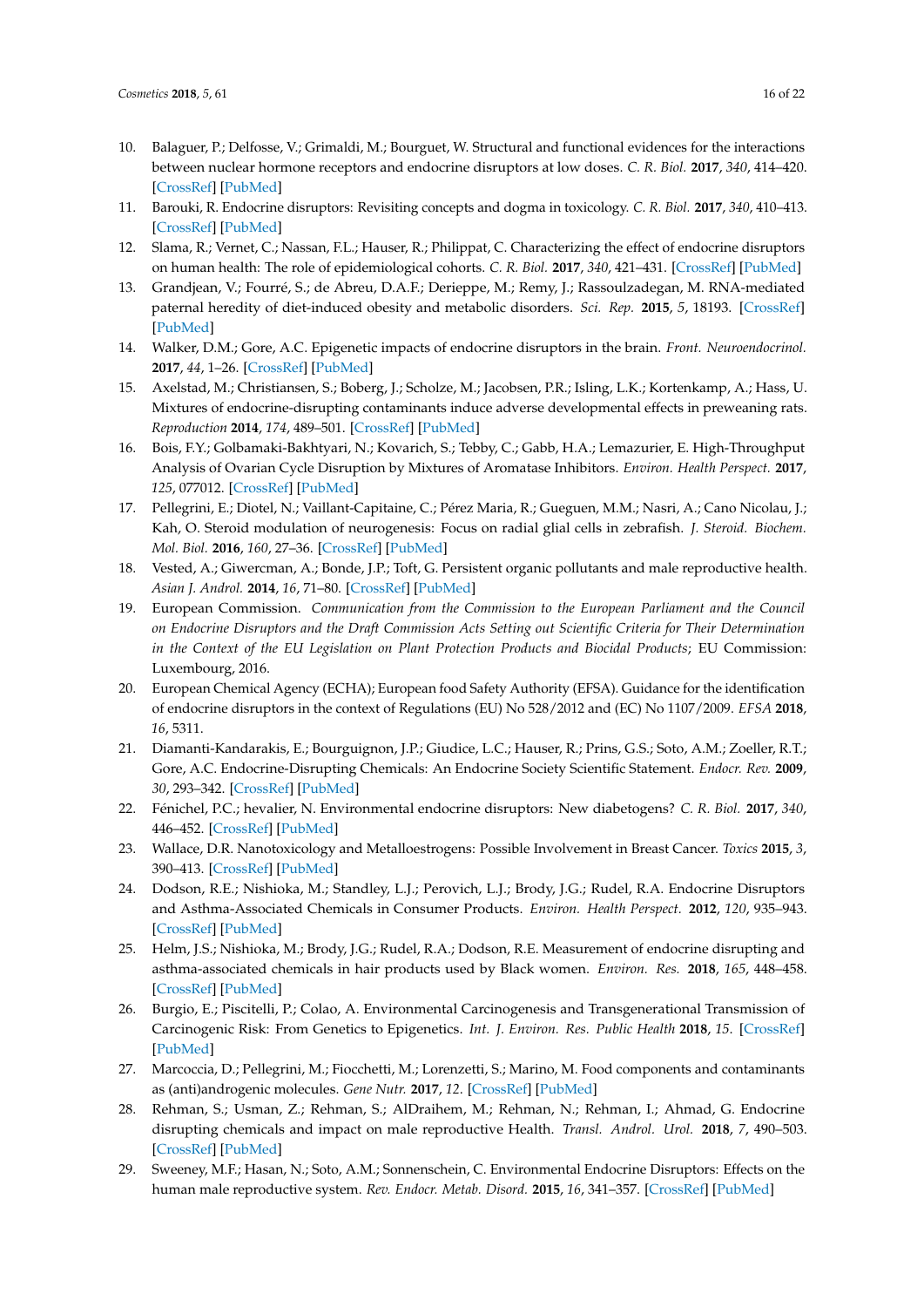- <span id="page-15-0"></span>10. Balaguer, P.; Delfosse, V.; Grimaldi, M.; Bourguet, W. Structural and functional evidences for the interactions between nuclear hormone receptors and endocrine disruptors at low doses. *C. R. Biol.* **2017**, *340*, 414–420. [\[CrossRef\]](http://dx.doi.org/10.1016/j.crvi.2017.08.002) [\[PubMed\]](http://www.ncbi.nlm.nih.gov/pubmed/29126514)
- <span id="page-15-1"></span>11. Barouki, R. Endocrine disruptors: Revisiting concepts and dogma in toxicology. *C. R. Biol.* **2017**, *340*, 410–413. [\[CrossRef\]](http://dx.doi.org/10.1016/j.crvi.2017.07.005) [\[PubMed\]](http://www.ncbi.nlm.nih.gov/pubmed/29126513)
- <span id="page-15-2"></span>12. Slama, R.; Vernet, C.; Nassan, F.L.; Hauser, R.; Philippat, C. Characterizing the effect of endocrine disruptors on human health: The role of epidemiological cohorts. *C. R. Biol.* **2017**, *340*, 421–431. [\[CrossRef\]](http://dx.doi.org/10.1016/j.crvi.2017.07.008) [\[PubMed\]](http://www.ncbi.nlm.nih.gov/pubmed/28843646)
- <span id="page-15-3"></span>13. Grandjean, V.; Fourré, S.; de Abreu, D.A.F.; Derieppe, M.; Remy, J.; Rassoulzadegan, M. RNA-mediated paternal heredity of diet-induced obesity and metabolic disorders. *Sci. Rep.* **2015**, *5*, 18193. [\[CrossRef\]](http://dx.doi.org/10.1038/srep18193) [\[PubMed\]](http://www.ncbi.nlm.nih.gov/pubmed/26658372)
- <span id="page-15-4"></span>14. Walker, D.M.; Gore, A.C. Epigenetic impacts of endocrine disruptors in the brain. *Front. Neuroendocrinol.* **2017**, *44*, 1–26. [\[CrossRef\]](http://dx.doi.org/10.1016/j.yfrne.2016.09.002) [\[PubMed\]](http://www.ncbi.nlm.nih.gov/pubmed/27663243)
- <span id="page-15-5"></span>15. Axelstad, M.; Christiansen, S.; Boberg, J.; Scholze, M.; Jacobsen, P.R.; Isling, L.K.; Kortenkamp, A.; Hass, U. Mixtures of endocrine-disrupting contaminants induce adverse developmental effects in preweaning rats. *Reproduction* **2014**, *174*, 489–501. [\[CrossRef\]](http://dx.doi.org/10.1530/REP-13-0447) [\[PubMed\]](http://www.ncbi.nlm.nih.gov/pubmed/24298046)
- <span id="page-15-6"></span>16. Bois, F.Y.; Golbamaki-Bakhtyari, N.; Kovarich, S.; Tebby, C.; Gabb, H.A.; Lemazurier, E. High-Throughput Analysis of Ovarian Cycle Disruption by Mixtures of Aromatase Inhibitors. *Environ. Health Perspect.* **2017**, *125*, 077012. [\[CrossRef\]](http://dx.doi.org/10.1289/EHP742) [\[PubMed\]](http://www.ncbi.nlm.nih.gov/pubmed/28886606)
- <span id="page-15-7"></span>17. Pellegrini, E.; Diotel, N.; Vaillant-Capitaine, C.; Pérez Maria, R.; Gueguen, M.M.; Nasri, A.; Cano Nicolau, J.; Kah, O. Steroid modulation of neurogenesis: Focus on radial glial cells in zebrafish. *J. Steroid. Biochem. Mol. Biol.* **2016**, *160*, 27–36. [\[CrossRef\]](http://dx.doi.org/10.1016/j.jsbmb.2015.06.011) [\[PubMed\]](http://www.ncbi.nlm.nih.gov/pubmed/26151741)
- <span id="page-15-8"></span>18. Vested, A.; Giwercman, A.; Bonde, J.P.; Toft, G. Persistent organic pollutants and male reproductive health. *Asian J. Androl.* **2014**, *16*, 71–80. [\[CrossRef\]](http://dx.doi.org/10.4103/1008-682X.122345) [\[PubMed\]](http://www.ncbi.nlm.nih.gov/pubmed/24369135)
- <span id="page-15-9"></span>19. European Commission. *Communication from the Commission to the European Parliament and the Council on Endocrine Disruptors and the Draft Commission Acts Setting out Scientific Criteria for Their Determination in the Context of the EU Legislation on Plant Protection Products and Biocidal Products*; EU Commission: Luxembourg, 2016.
- <span id="page-15-10"></span>20. European Chemical Agency (ECHA); European food Safety Authority (EFSA). Guidance for the identification of endocrine disruptors in the context of Regulations (EU) No 528/2012 and (EC) No 1107/2009. *EFSA* **2018**, *16*, 5311.
- <span id="page-15-11"></span>21. Diamanti-Kandarakis, E.; Bourguignon, J.P.; Giudice, L.C.; Hauser, R.; Prins, G.S.; Soto, A.M.; Zoeller, R.T.; Gore, A.C. Endocrine-Disrupting Chemicals: An Endocrine Society Scientific Statement. *Endocr. Rev.* **2009**, *30*, 293–342. [\[CrossRef\]](http://dx.doi.org/10.1210/er.2009-0002) [\[PubMed\]](http://www.ncbi.nlm.nih.gov/pubmed/19502515)
- <span id="page-15-12"></span>22. Fénichel, P.C.; hevalier, N. Environmental endocrine disruptors: New diabetogens? *C. R. Biol.* **2017**, *340*, 446–452. [\[CrossRef\]](http://dx.doi.org/10.1016/j.crvi.2017.07.003) [\[PubMed\]](http://www.ncbi.nlm.nih.gov/pubmed/28826789)
- <span id="page-15-13"></span>23. Wallace, D.R. Nanotoxicology and Metalloestrogens: Possible Involvement in Breast Cancer. *Toxics* **2015**, *3*, 390–413. [\[CrossRef\]](http://dx.doi.org/10.3390/toxics3040390) [\[PubMed\]](http://www.ncbi.nlm.nih.gov/pubmed/29051471)
- <span id="page-15-14"></span>24. Dodson, R.E.; Nishioka, M.; Standley, L.J.; Perovich, L.J.; Brody, J.G.; Rudel, R.A. Endocrine Disruptors and Asthma-Associated Chemicals in Consumer Products. *Environ. Health Perspect.* **2012**, *120*, 935–943. [\[CrossRef\]](http://dx.doi.org/10.1289/ehp.1104052) [\[PubMed\]](http://www.ncbi.nlm.nih.gov/pubmed/22398195)
- <span id="page-15-15"></span>25. Helm, J.S.; Nishioka, M.; Brody, J.G.; Rudel, R.A.; Dodson, R.E. Measurement of endocrine disrupting and asthma-associated chemicals in hair products used by Black women. *Environ. Res.* **2018**, *165*, 448–458. [\[CrossRef\]](http://dx.doi.org/10.1016/j.envres.2018.03.030) [\[PubMed\]](http://www.ncbi.nlm.nih.gov/pubmed/29705122)
- <span id="page-15-16"></span>26. Burgio, E.; Piscitelli, P.; Colao, A. Environmental Carcinogenesis and Transgenerational Transmission of Carcinogenic Risk: From Genetics to Epigenetics. *Int. J. Environ. Res. Public Health* **2018**, *15*. [\[CrossRef\]](http://dx.doi.org/10.3390/ijerph15081791) [\[PubMed\]](http://www.ncbi.nlm.nih.gov/pubmed/30127322)
- <span id="page-15-17"></span>27. Marcoccia, D.; Pellegrini, M.; Fiocchetti, M.; Lorenzetti, S.; Marino, M. Food components and contaminants as (anti)androgenic molecules. *Gene Nutr.* **2017**, *12*. [\[CrossRef\]](http://dx.doi.org/10.1186/s12263-017-0555-5) [\[PubMed\]](http://www.ncbi.nlm.nih.gov/pubmed/28239427)
- 28. Rehman, S.; Usman, Z.; Rehman, S.; AlDraihem, M.; Rehman, N.; Rehman, I.; Ahmad, G. Endocrine disrupting chemicals and impact on male reproductive Health. *Transl. Androl. Urol.* **2018**, *7*, 490–503. [\[CrossRef\]](http://dx.doi.org/10.21037/tau.2018.05.17) [\[PubMed\]](http://www.ncbi.nlm.nih.gov/pubmed/30050807)
- <span id="page-15-18"></span>29. Sweeney, M.F.; Hasan, N.; Soto, A.M.; Sonnenschein, C. Environmental Endocrine Disruptors: Effects on the human male reproductive system. *Rev. Endocr. Metab. Disord.* **2015**, *16*, 341–357. [\[CrossRef\]](http://dx.doi.org/10.1007/s11154-016-9337-4) [\[PubMed\]](http://www.ncbi.nlm.nih.gov/pubmed/26847433)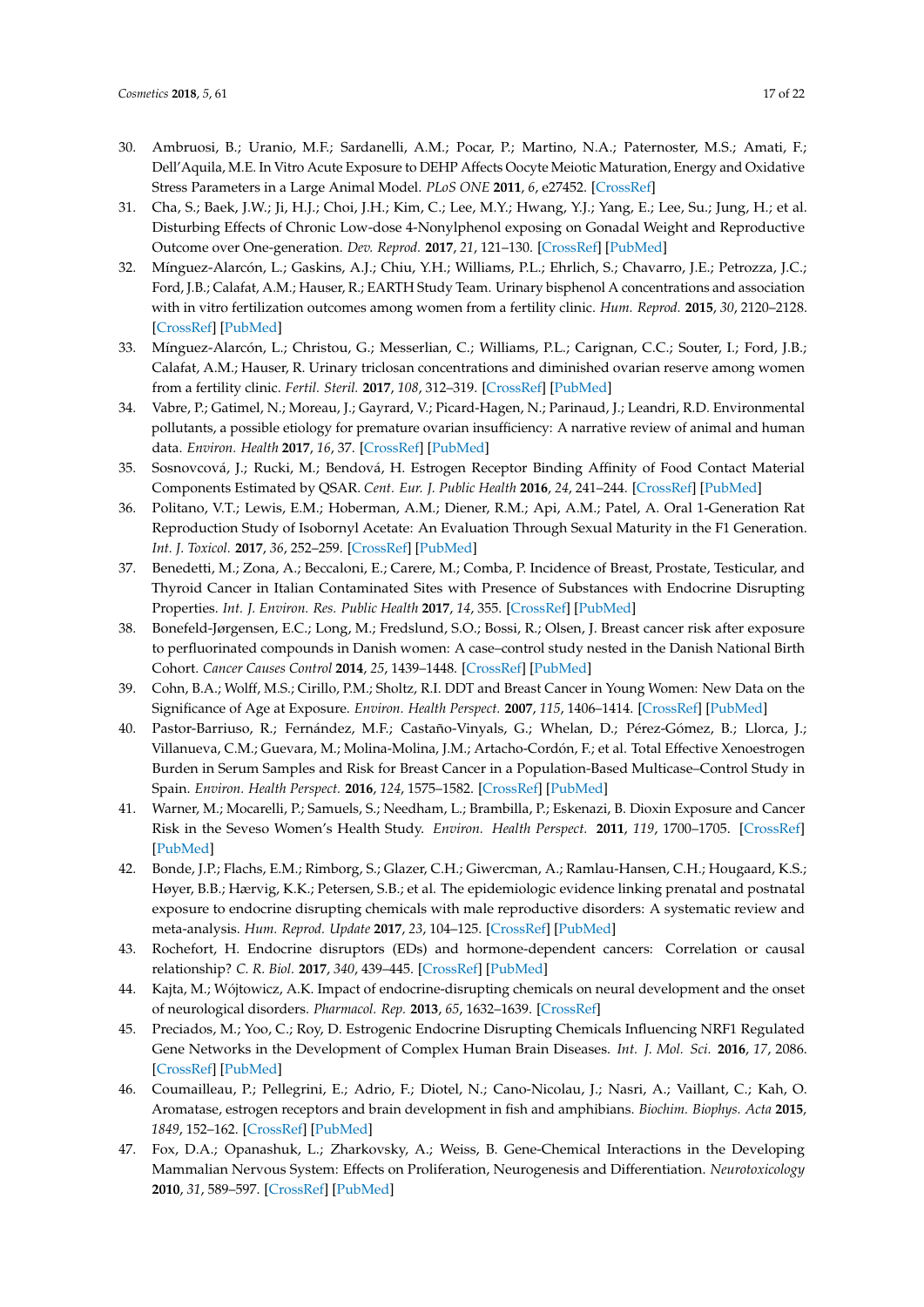- <span id="page-16-0"></span>30. Ambruosi, B.; Uranio, M.F.; Sardanelli, A.M.; Pocar, P.; Martino, N.A.; Paternoster, M.S.; Amati, F.; Dell'Aquila, M.E. In Vitro Acute Exposure to DEHP Affects Oocyte Meiotic Maturation, Energy and Oxidative Stress Parameters in a Large Animal Model. *PLoS ONE* **2011**, *6*, e27452. [\[CrossRef\]](http://dx.doi.org/10.1371/annotation/4eeebe50-1b31-422c-94a0-effcf9eda85f)
- <span id="page-16-11"></span>31. Cha, S.; Baek, J.W.; Ji, H.J.; Choi, J.H.; Kim, C.; Lee, M.Y.; Hwang, Y.J.; Yang, E.; Lee, Su.; Jung, H.; et al. Disturbing Effects of Chronic Low-dose 4-Nonylphenol exposing on Gonadal Weight and Reproductive Outcome over One-generation. *Dev. Reprod.* **2017**, *21*, 121–130. [\[CrossRef\]](http://dx.doi.org/10.12717/DR.2017.21.2.121) [\[PubMed\]](http://www.ncbi.nlm.nih.gov/pubmed/28785733)
- <span id="page-16-12"></span>32. Mínguez-Alarcón, L.; Gaskins, A.J.; Chiu, Y.H.; Williams, P.L.; Ehrlich, S.; Chavarro, J.E.; Petrozza, J.C.; Ford, J.B.; Calafat, A.M.; Hauser, R.; EARTH Study Team. Urinary bisphenol A concentrations and association with in vitro fertilization outcomes among women from a fertility clinic. *Hum. Reprod.* **2015**, *30*, 2120–2128. [\[CrossRef\]](http://dx.doi.org/10.1093/humrep/dev183) [\[PubMed\]](http://www.ncbi.nlm.nih.gov/pubmed/26209788)
- 33. Mínguez-Alarcón, L.; Christou, G.; Messerlian, C.; Williams, P.L.; Carignan, C.C.; Souter, I.; Ford, J.B.; Calafat, A.M.; Hauser, R. Urinary triclosan concentrations and diminished ovarian reserve among women from a fertility clinic. *Fertil. Steril.* **2017**, *108*, 312–319. [\[CrossRef\]](http://dx.doi.org/10.1016/j.fertnstert.2017.05.020) [\[PubMed\]](http://www.ncbi.nlm.nih.gov/pubmed/28583664)
- <span id="page-16-1"></span>34. Vabre, P.; Gatimel, N.; Moreau, J.; Gayrard, V.; Picard-Hagen, N.; Parinaud, J.; Leandri, R.D. Environmental pollutants, a possible etiology for premature ovarian insufficiency: A narrative review of animal and human data. *Environ. Health* **2017**, *16*, 37. [\[CrossRef\]](http://dx.doi.org/10.1186/s12940-017-0242-4) [\[PubMed\]](http://www.ncbi.nlm.nih.gov/pubmed/28388912)
- <span id="page-16-2"></span>35. Sosnovcová, J.; Rucki, M.; Bendová, H. Estrogen Receptor Binding Affinity of Food Contact Material Components Estimated by QSAR. *Cent. Eur. J. Public Health* **2016**, *24*, 241–244. [\[CrossRef\]](http://dx.doi.org/10.21101/cejph.a4813) [\[PubMed\]](http://www.ncbi.nlm.nih.gov/pubmed/27743518)
- <span id="page-16-3"></span>36. Politano, V.T.; Lewis, E.M.; Hoberman, A.M.; Diener, R.M.; Api, A.M.; Patel, A. Oral 1-Generation Rat Reproduction Study of Isobornyl Acetate: An Evaluation Through Sexual Maturity in the F1 Generation. *Int. J. Toxicol.* **2017**, *36*, 252–259. [\[CrossRef\]](http://dx.doi.org/10.1177/1091581817708197) [\[PubMed\]](http://www.ncbi.nlm.nih.gov/pubmed/28481133)
- <span id="page-16-4"></span>37. Benedetti, M.; Zona, A.; Beccaloni, E.; Carere, M.; Comba, P. Incidence of Breast, Prostate, Testicular, and Thyroid Cancer in Italian Contaminated Sites with Presence of Substances with Endocrine Disrupting Properties. *Int. J. Environ. Res. Public Health* **2017**, *14*, 355. [\[CrossRef\]](http://dx.doi.org/10.3390/ijerph14040355) [\[PubMed\]](http://www.ncbi.nlm.nih.gov/pubmed/28353667)
- <span id="page-16-13"></span>38. Bonefeld-Jørgensen, E.C.; Long, M.; Fredslund, S.O.; Bossi, R.; Olsen, J. Breast cancer risk after exposure to perfluorinated compounds in Danish women: A case–control study nested in the Danish National Birth Cohort. *Cancer Causes Control* **2014**, *25*, 1439–1448. [\[CrossRef\]](http://dx.doi.org/10.1007/s10552-014-0446-7) [\[PubMed\]](http://www.ncbi.nlm.nih.gov/pubmed/25148915)
- 39. Cohn, B.A.; Wolff, M.S.; Cirillo, P.M.; Sholtz, R.I. DDT and Breast Cancer in Young Women: New Data on the Significance of Age at Exposure. *Environ. Health Perspect.* **2007**, *115*, 1406–1414. [\[CrossRef\]](http://dx.doi.org/10.1289/ehp.10260) [\[PubMed\]](http://www.ncbi.nlm.nih.gov/pubmed/17938728)
- 40. Pastor-Barriuso, R.; Fernández, M.F.; Castaño-Vinyals, G.; Whelan, D.; Pérez-Gómez, B.; Llorca, J.; Villanueva, C.M.; Guevara, M.; Molina-Molina, J.M.; Artacho-Cordón, F.; et al. Total Effective Xenoestrogen Burden in Serum Samples and Risk for Breast Cancer in a Population-Based Multicase–Control Study in Spain. *Environ. Health Perspect.* **2016**, *124*, 1575–1582. [\[CrossRef\]](http://dx.doi.org/10.1289/EHP157) [\[PubMed\]](http://www.ncbi.nlm.nih.gov/pubmed/27203080)
- <span id="page-16-5"></span>41. Warner, M.; Mocarelli, P.; Samuels, S.; Needham, L.; Brambilla, P.; Eskenazi, B. Dioxin Exposure and Cancer Risk in the Seveso Women's Health Study. *Environ. Health Perspect.* **2011**, *119*, 1700–1705. [\[CrossRef\]](http://dx.doi.org/10.1289/ehp.1103720) [\[PubMed\]](http://www.ncbi.nlm.nih.gov/pubmed/21810551)
- <span id="page-16-6"></span>42. Bonde, J.P.; Flachs, E.M.; Rimborg, S.; Glazer, C.H.; Giwercman, A.; Ramlau-Hansen, C.H.; Hougaard, K.S.; Høyer, B.B.; Hærvig, K.K.; Petersen, S.B.; et al. The epidemiologic evidence linking prenatal and postnatal exposure to endocrine disrupting chemicals with male reproductive disorders: A systematic review and meta-analysis. *Hum. Reprod. Update* **2017**, *23*, 104–125. [\[CrossRef\]](http://dx.doi.org/10.1093/humupd/dmw036) [\[PubMed\]](http://www.ncbi.nlm.nih.gov/pubmed/27655588)
- <span id="page-16-7"></span>43. Rochefort, H. Endocrine disruptors (EDs) and hormone-dependent cancers: Correlation or causal relationship? *C. R. Biol.* **2017**, *340*, 439–445. [\[CrossRef\]](http://dx.doi.org/10.1016/j.crvi.2017.07.007) [\[PubMed\]](http://www.ncbi.nlm.nih.gov/pubmed/29126515)
- <span id="page-16-8"></span>44. Kajta, M.; Wójtowicz, A.K. Impact of endocrine-disrupting chemicals on neural development and the onset of neurological disorders. *Pharmacol. Rep.* **2013**, *65*, 1632–1639. [\[CrossRef\]](http://dx.doi.org/10.1016/S1734-1140(13)71524-X)
- <span id="page-16-9"></span>45. Preciados, M.; Yoo, C.; Roy, D. Estrogenic Endocrine Disrupting Chemicals Influencing NRF1 Regulated Gene Networks in the Development of Complex Human Brain Diseases. *Int. J. Mol. Sci.* **2016**, *17*, 2086. [\[CrossRef\]](http://dx.doi.org/10.3390/ijms17122086) [\[PubMed\]](http://www.ncbi.nlm.nih.gov/pubmed/27983596)
- <span id="page-16-10"></span>46. Coumailleau, P.; Pellegrini, E.; Adrio, F.; Diotel, N.; Cano-Nicolau, J.; Nasri, A.; Vaillant, C.; Kah, O. Aromatase, estrogen receptors and brain development in fish and amphibians. *Biochim. Biophys. Acta* **2015**, *1849*, 152–162. [\[CrossRef\]](http://dx.doi.org/10.1016/j.bbagrm.2014.07.002) [\[PubMed\]](http://www.ncbi.nlm.nih.gov/pubmed/25038582)
- 47. Fox, D.A.; Opanashuk, L.; Zharkovsky, A.; Weiss, B. Gene-Chemical Interactions in the Developing Mammalian Nervous System: Effects on Proliferation, Neurogenesis and Differentiation. *Neurotoxicology* **2010**, *31*, 589–597. [\[CrossRef\]](http://dx.doi.org/10.1016/j.neuro.2010.03.007) [\[PubMed\]](http://www.ncbi.nlm.nih.gov/pubmed/20381523)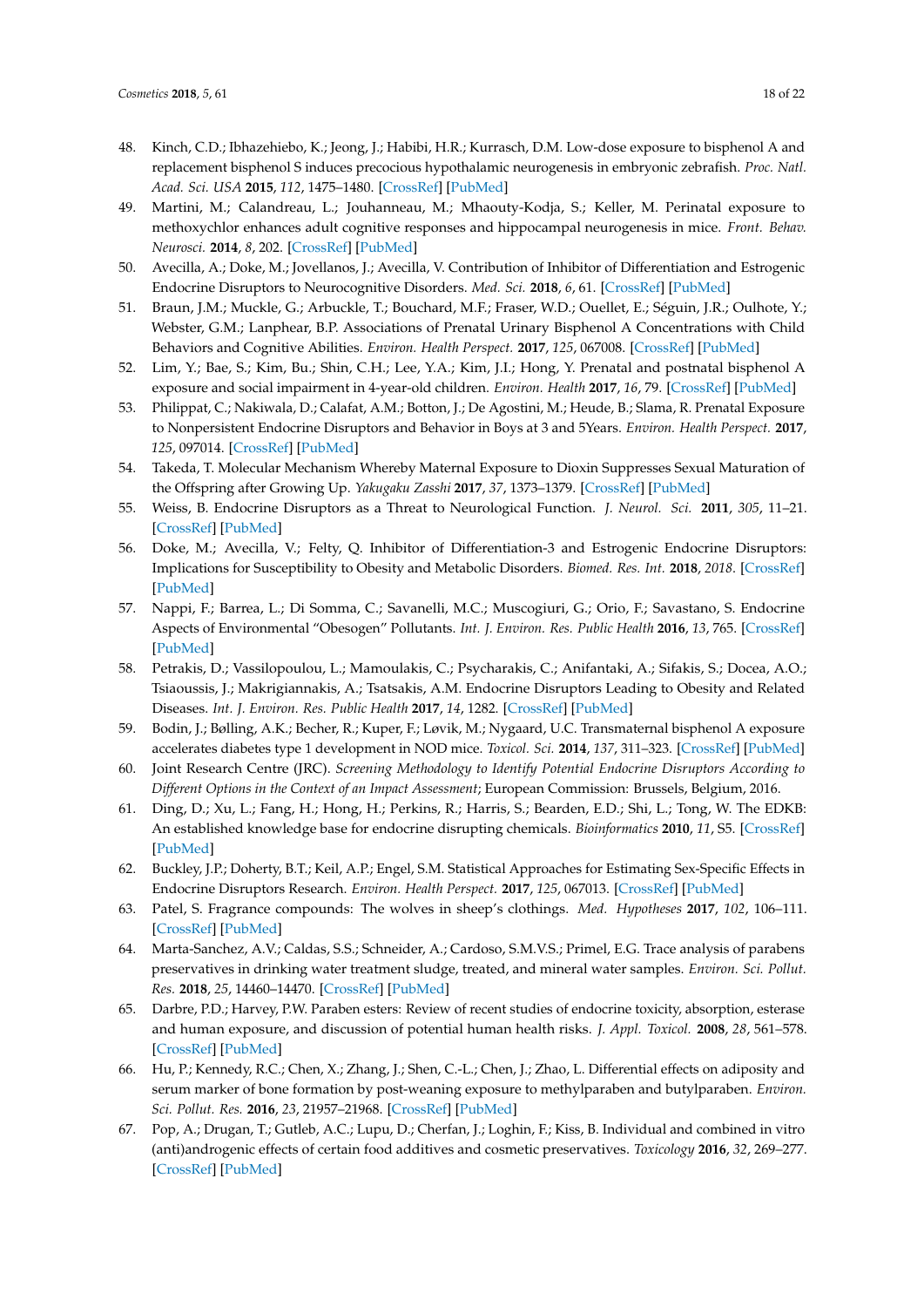- <span id="page-17-14"></span>48. Kinch, C.D.; Ibhazehiebo, K.; Jeong, J.; Habibi, H.R.; Kurrasch, D.M. Low-dose exposure to bisphenol A and replacement bisphenol S induces precocious hypothalamic neurogenesis in embryonic zebrafish. *Proc. Natl. Acad. Sci. USA* **2015**, *112*, 1475–1480. [\[CrossRef\]](http://dx.doi.org/10.1073/pnas.1417731112) [\[PubMed\]](http://www.ncbi.nlm.nih.gov/pubmed/25583509)
- <span id="page-17-0"></span>49. Martini, M.; Calandreau, L.; Jouhanneau, M.; Mhaouty-Kodja, S.; Keller, M. Perinatal exposure to methoxychlor enhances adult cognitive responses and hippocampal neurogenesis in mice. *Front. Behav. Neurosci.* **2014**, *8*, 202. [\[CrossRef\]](http://dx.doi.org/10.3389/fnbeh.2014.00202) [\[PubMed\]](http://www.ncbi.nlm.nih.gov/pubmed/24982620)
- <span id="page-17-1"></span>50. Avecilla, A.; Doke, M.; Jovellanos, J.; Avecilla, V. Contribution of Inhibitor of Differentiation and Estrogenic Endocrine Disruptors to Neurocognitive Disorders. *Med. Sci.* **2018**, *6*, 61. [\[CrossRef\]](http://dx.doi.org/10.3390/medsci6030061) [\[PubMed\]](http://www.ncbi.nlm.nih.gov/pubmed/30081481)
- 51. Braun, J.M.; Muckle, G.; Arbuckle, T.; Bouchard, M.F.; Fraser, W.D.; Ouellet, E.; Séguin, J.R.; Oulhote, Y.; Webster, G.M.; Lanphear, B.P. Associations of Prenatal Urinary Bisphenol A Concentrations with Child Behaviors and Cognitive Abilities. *Environ. Health Perspect.* **2017**, *125*, 067008. [\[CrossRef\]](http://dx.doi.org/10.1289/EHP984) [\[PubMed\]](http://www.ncbi.nlm.nih.gov/pubmed/28657891)
- <span id="page-17-15"></span>52. Lim, Y.; Bae, S.; Kim, Bu.; Shin, C.H.; Lee, Y.A.; Kim, J.I.; Hong, Y. Prenatal and postnatal bisphenol A exposure and social impairment in 4-year-old children. *Environ. Health* **2017**, *16*, 79. [\[CrossRef\]](http://dx.doi.org/10.1186/s12940-017-0289-2) [\[PubMed\]](http://www.ncbi.nlm.nih.gov/pubmed/28747197)
- 53. Philippat, C.; Nakiwala, D.; Calafat, A.M.; Botton, J.; De Agostini, M.; Heude, B.; Slama, R. Prenatal Exposure to Nonpersistent Endocrine Disruptors and Behavior in Boys at 3 and 5Years. *Environ. Health Perspect.* **2017**, *125*, 097014. [\[CrossRef\]](http://dx.doi.org/10.1289/EHP1314) [\[PubMed\]](http://www.ncbi.nlm.nih.gov/pubmed/28937960)
- 54. Takeda, T. Molecular Mechanism Whereby Maternal Exposure to Dioxin Suppresses Sexual Maturation of the Offspring after Growing Up. *Yakugaku Zasshi* **2017**, *37*, 1373–1379. [\[CrossRef\]](http://dx.doi.org/10.1248/yakushi.17-00146) [\[PubMed\]](http://www.ncbi.nlm.nih.gov/pubmed/29093374)
- <span id="page-17-2"></span>55. Weiss, B. Endocrine Disruptors as a Threat to Neurological Function. *J. Neurol. Sci.* **2011**, *305*, 11–21. [\[CrossRef\]](http://dx.doi.org/10.1016/j.jns.2011.03.014) [\[PubMed\]](http://www.ncbi.nlm.nih.gov/pubmed/21474148)
- <span id="page-17-3"></span>56. Doke, M.; Avecilla, V.; Felty, Q. Inhibitor of Differentiation-3 and Estrogenic Endocrine Disruptors: Implications for Susceptibility to Obesity and Metabolic Disorders. *Biomed. Res. Int.* **2018**, *2018*. [\[CrossRef\]](http://dx.doi.org/10.1155/2018/6821601) [\[PubMed\]](http://www.ncbi.nlm.nih.gov/pubmed/29507860)
- 57. Nappi, F.; Barrea, L.; Di Somma, C.; Savanelli, M.C.; Muscogiuri, G.; Orio, F.; Savastano, S. Endocrine Aspects of Environmental "Obesogen" Pollutants. *Int. J. Environ. Res. Public Health* **2016**, *13*, 765. [\[CrossRef\]](http://dx.doi.org/10.3390/ijerph13080765) [\[PubMed\]](http://www.ncbi.nlm.nih.gov/pubmed/27483295)
- <span id="page-17-4"></span>58. Petrakis, D.; Vassilopoulou, L.; Mamoulakis, C.; Psycharakis, C.; Anifantaki, A.; Sifakis, S.; Docea, A.O.; Tsiaoussis, J.; Makrigiannakis, A.; Tsatsakis, A.M. Endocrine Disruptors Leading to Obesity and Related Diseases. *Int. J. Environ. Res. Public Health* **2017**, *14*, 1282. [\[CrossRef\]](http://dx.doi.org/10.3390/ijerph14101282) [\[PubMed\]](http://www.ncbi.nlm.nih.gov/pubmed/29064461)
- <span id="page-17-5"></span>59. Bodin, J.; Bølling, A.K.; Becher, R.; Kuper, F.; Løvik, M.; Nygaard, U.C. Transmaternal bisphenol A exposure accelerates diabetes type 1 development in NOD mice. *Toxicol. Sci.* **2014**, *137*, 311–323. [\[CrossRef\]](http://dx.doi.org/10.1093/toxsci/kft242) [\[PubMed\]](http://www.ncbi.nlm.nih.gov/pubmed/24189131)
- <span id="page-17-6"></span>60. Joint Research Centre (JRC). *Screening Methodology to Identify Potential Endocrine Disruptors According to Different Options in the Context of an Impact Assessment*; European Commission: Brussels, Belgium, 2016.
- <span id="page-17-7"></span>61. Ding, D.; Xu, L.; Fang, H.; Hong, H.; Perkins, R.; Harris, S.; Bearden, E.D.; Shi, L.; Tong, W. The EDKB: An established knowledge base for endocrine disrupting chemicals. *Bioinformatics* **2010**, *11*, S5. [\[CrossRef\]](http://dx.doi.org/10.1186/1471-2105-11-S6-S5) [\[PubMed\]](http://www.ncbi.nlm.nih.gov/pubmed/20946616)
- <span id="page-17-8"></span>62. Buckley, J.P.; Doherty, B.T.; Keil, A.P.; Engel, S.M. Statistical Approaches for Estimating Sex-Specific Effects in Endocrine Disruptors Research. *Environ. Health Perspect.* **2017**, *125*, 067013. [\[CrossRef\]](http://dx.doi.org/10.1289/EHP334) [\[PubMed\]](http://www.ncbi.nlm.nih.gov/pubmed/28665274)
- <span id="page-17-9"></span>63. Patel, S. Fragrance compounds: The wolves in sheep's clothings. *Med. Hypotheses* **2017**, *102*, 106–111. [\[CrossRef\]](http://dx.doi.org/10.1016/j.mehy.2017.03.025) [\[PubMed\]](http://www.ncbi.nlm.nih.gov/pubmed/28478814)
- <span id="page-17-10"></span>64. Marta-Sanchez, A.V.; Caldas, S.S.; Schneider, A.; Cardoso, S.M.V.S.; Primel, E.G. Trace analysis of parabens preservatives in drinking water treatment sludge, treated, and mineral water samples. *Environ. Sci. Pollut. Res.* **2018**, *25*, 14460–14470. [\[CrossRef\]](http://dx.doi.org/10.1007/s11356-018-1583-4) [\[PubMed\]](http://www.ncbi.nlm.nih.gov/pubmed/29525867)
- <span id="page-17-11"></span>65. Darbre, P.D.; Harvey, P.W. Paraben esters: Review of recent studies of endocrine toxicity, absorption, esterase and human exposure, and discussion of potential human health risks. *J. Appl. Toxicol.* **2008**, *28*, 561–578. [\[CrossRef\]](http://dx.doi.org/10.1002/jat.1358) [\[PubMed\]](http://www.ncbi.nlm.nih.gov/pubmed/18484575)
- <span id="page-17-12"></span>66. Hu, P.; Kennedy, R.C.; Chen, X.; Zhang, J.; Shen, C.-L.; Chen, J.; Zhao, L. Differential effects on adiposity and serum marker of bone formation by post-weaning exposure to methylparaben and butylparaben. *Environ. Sci. Pollut. Res.* **2016**, *23*, 21957–21968. [\[CrossRef\]](http://dx.doi.org/10.1007/s11356-016-7452-0) [\[PubMed\]](http://www.ncbi.nlm.nih.gov/pubmed/27535158)
- <span id="page-17-13"></span>67. Pop, A.; Drugan, T.; Gutleb, A.C.; Lupu, D.; Cherfan, J.; Loghin, F.; Kiss, B. Individual and combined in vitro (anti)androgenic effects of certain food additives and cosmetic preservatives. *Toxicology* **2016**, *32*, 269–277. [\[CrossRef\]](http://dx.doi.org/10.1016/j.tiv.2016.01.012) [\[PubMed\]](http://www.ncbi.nlm.nih.gov/pubmed/26812027)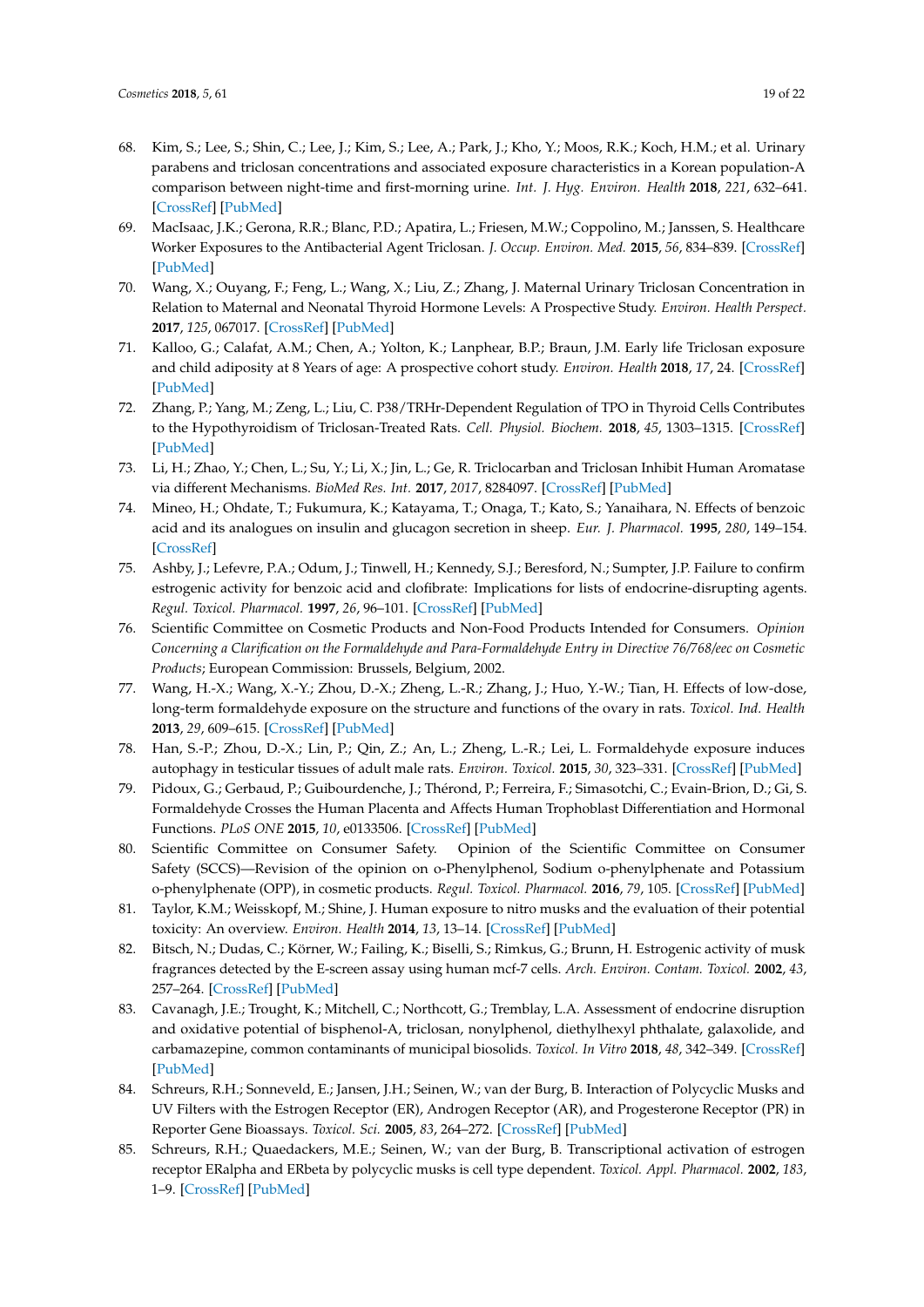- <span id="page-18-0"></span>68. Kim, S.; Lee, S.; Shin, C.; Lee, J.; Kim, S.; Lee, A.; Park, J.; Kho, Y.; Moos, R.K.; Koch, H.M.; et al. Urinary parabens and triclosan concentrations and associated exposure characteristics in a Korean population-A comparison between night-time and first-morning urine. *Int. J. Hyg. Environ. Health* **2018**, *221*, 632–641. [\[CrossRef\]](http://dx.doi.org/10.1016/j.ijheh.2018.03.009) [\[PubMed\]](http://www.ncbi.nlm.nih.gov/pubmed/29598845)
- <span id="page-18-1"></span>69. MacIsaac, J.K.; Gerona, R.R.; Blanc, P.D.; Apatira, L.; Friesen, M.W.; Coppolino, M.; Janssen, S. Healthcare Worker Exposures to the Antibacterial Agent Triclosan. *J. Occup. Environ. Med.* **2015**, *56*, 834–839. [\[CrossRef\]](http://dx.doi.org/10.1097/JOM.0000000000000183) [\[PubMed\]](http://www.ncbi.nlm.nih.gov/pubmed/25099409)
- <span id="page-18-2"></span>70. Wang, X.; Ouyang, F.; Feng, L.; Wang, X.; Liu, Z.; Zhang, J. Maternal Urinary Triclosan Concentration in Relation to Maternal and Neonatal Thyroid Hormone Levels: A Prospective Study. *Environ. Health Perspect.* **2017**, *125*, 067017. [\[CrossRef\]](http://dx.doi.org/10.1289/EHP500) [\[PubMed\]](http://www.ncbi.nlm.nih.gov/pubmed/28669941)
- <span id="page-18-3"></span>71. Kalloo, G.; Calafat, A.M.; Chen, A.; Yolton, K.; Lanphear, B.P.; Braun, J.M. Early life Triclosan exposure and child adiposity at 8 Years of age: A prospective cohort study. *Environ. Health* **2018**, *17*, 24. [\[CrossRef\]](http://dx.doi.org/10.1186/s12940-018-0366-1) [\[PubMed\]](http://www.ncbi.nlm.nih.gov/pubmed/29506550)
- <span id="page-18-4"></span>72. Zhang, P.; Yang, M.; Zeng, L.; Liu, C. P38/TRHr-Dependent Regulation of TPO in Thyroid Cells Contributes to the Hypothyroidism of Triclosan-Treated Rats. *Cell. Physiol. Biochem.* **2018**, *45*, 1303–1315. [\[CrossRef\]](http://dx.doi.org/10.1159/000487558) [\[PubMed\]](http://www.ncbi.nlm.nih.gov/pubmed/29462796)
- <span id="page-18-5"></span>73. Li, H.; Zhao, Y.; Chen, L.; Su, Y.; Li, X.; Jin, L.; Ge, R. Triclocarban and Triclosan Inhibit Human Aromatase via different Mechanisms. *BioMed Res. Int.* **2017**, *2017*, 8284097. [\[CrossRef\]](http://dx.doi.org/10.1155/2017/8284097) [\[PubMed\]](http://www.ncbi.nlm.nih.gov/pubmed/29376079)
- <span id="page-18-6"></span>74. Mineo, H.; Ohdate, T.; Fukumura, K.; Katayama, T.; Onaga, T.; Kato, S.; Yanaihara, N. Effects of benzoic acid and its analogues on insulin and glucagon secretion in sheep. *Eur. J. Pharmacol.* **1995**, *280*, 149–154. [\[CrossRef\]](http://dx.doi.org/10.1016/0014-2999(95)00192-N)
- <span id="page-18-7"></span>75. Ashby, J.; Lefevre, P.A.; Odum, J.; Tinwell, H.; Kennedy, S.J.; Beresford, N.; Sumpter, J.P. Failure to confirm estrogenic activity for benzoic acid and clofibrate: Implications for lists of endocrine-disrupting agents. *Regul. Toxicol. Pharmacol.* **1997**, *26*, 96–101. [\[CrossRef\]](http://dx.doi.org/10.1006/rtph.1997.1158) [\[PubMed\]](http://www.ncbi.nlm.nih.gov/pubmed/9339486)
- <span id="page-18-8"></span>76. Scientific Committee on Cosmetic Products and Non-Food Products Intended for Consumers. *Opinion Concerning a Clarification on the Formaldehyde and Para-Formaldehyde Entry in Directive 76/768/eec on Cosmetic Products*; European Commission: Brussels, Belgium, 2002.
- <span id="page-18-9"></span>77. Wang, H.-X.; Wang, X.-Y.; Zhou, D.-X.; Zheng, L.-R.; Zhang, J.; Huo, Y.-W.; Tian, H. Effects of low-dose, long-term formaldehyde exposure on the structure and functions of the ovary in rats. *Toxicol. Ind. Health* **2013**, *29*, 609–615. [\[CrossRef\]](http://dx.doi.org/10.1177/0748233711430983) [\[PubMed\]](http://www.ncbi.nlm.nih.gov/pubmed/22287616)
- <span id="page-18-10"></span>78. Han, S.-P.; Zhou, D.-X.; Lin, P.; Qin, Z.; An, L.; Zheng, L.-R.; Lei, L. Formaldehyde exposure induces autophagy in testicular tissues of adult male rats. *Environ. Toxicol.* **2015**, *30*, 323–331. [\[CrossRef\]](http://dx.doi.org/10.1002/tox.21910) [\[PubMed\]](http://www.ncbi.nlm.nih.gov/pubmed/24142868)
- <span id="page-18-11"></span>79. Pidoux, G.; Gerbaud, P.; Guibourdenche, J.; Thérond, P.; Ferreira, F.; Simasotchi, C.; Evain-Brion, D.; Gi, S. Formaldehyde Crosses the Human Placenta and Affects Human Trophoblast Differentiation and Hormonal Functions. *PLoS ONE* **2015**, *10*, e0133506. [\[CrossRef\]](http://dx.doi.org/10.1371/journal.pone.0133506) [\[PubMed\]](http://www.ncbi.nlm.nih.gov/pubmed/26186596)
- <span id="page-18-12"></span>80. Scientific Committee on Consumer Safety. Opinion of the Scientific Committee on Consumer Safety (SCCS)—Revision of the opinion on o-Phenylphenol, Sodium o-phenylphenate and Potassium o-phenylphenate (OPP), in cosmetic products. *Regul. Toxicol. Pharmacol.* **2016**, *79*, 105. [\[CrossRef\]](http://dx.doi.org/10.1016/j.yrtph.2016.02.020) [\[PubMed\]](http://www.ncbi.nlm.nih.gov/pubmed/26946408)
- <span id="page-18-13"></span>81. Taylor, K.M.; Weisskopf, M.; Shine, J. Human exposure to nitro musks and the evaluation of their potential toxicity: An overview. *Environ. Health* **2014**, *13*, 13–14. [\[CrossRef\]](http://dx.doi.org/10.1186/1476-069X-13-14) [\[PubMed\]](http://www.ncbi.nlm.nih.gov/pubmed/24618224)
- <span id="page-18-14"></span>82. Bitsch, N.; Dudas, C.; Körner, W.; Failing, K.; Biselli, S.; Rimkus, G.; Brunn, H. Estrogenic activity of musk fragrances detected by the E-screen assay using human mcf-7 cells. *Arch. Environ. Contam. Toxicol.* **2002**, *43*, 257–264. [\[CrossRef\]](http://dx.doi.org/10.1007/s00244-002-1192-5) [\[PubMed\]](http://www.ncbi.nlm.nih.gov/pubmed/12202919)
- <span id="page-18-15"></span>83. Cavanagh, J.E.; Trought, K.; Mitchell, C.; Northcott, G.; Tremblay, L.A. Assessment of endocrine disruption and oxidative potential of bisphenol-A, triclosan, nonylphenol, diethylhexyl phthalate, galaxolide, and carbamazepine, common contaminants of municipal biosolids. *Toxicol. In Vitro* **2018**, *48*, 342–349. [\[CrossRef\]](http://dx.doi.org/10.1016/j.tiv.2018.02.003) [\[PubMed\]](http://www.ncbi.nlm.nih.gov/pubmed/29427707)
- <span id="page-18-16"></span>84. Schreurs, R.H.; Sonneveld, E.; Jansen, J.H.; Seinen, W.; van der Burg, B. Interaction of Polycyclic Musks and UV Filters with the Estrogen Receptor (ER), Androgen Receptor (AR), and Progesterone Receptor (PR) in Reporter Gene Bioassays. *Toxicol. Sci.* **2005**, *83*, 264–272. [\[CrossRef\]](http://dx.doi.org/10.1093/toxsci/kfi035) [\[PubMed\]](http://www.ncbi.nlm.nih.gov/pubmed/15537743)
- <span id="page-18-17"></span>85. Schreurs, R.H.; Quaedackers, M.E.; Seinen, W.; van der Burg, B. Transcriptional activation of estrogen receptor ERalpha and ERbeta by polycyclic musks is cell type dependent. *Toxicol. Appl. Pharmacol.* **2002**, *183*, 1–9. [\[CrossRef\]](http://dx.doi.org/10.1006/taap.2002.9458) [\[PubMed\]](http://www.ncbi.nlm.nih.gov/pubmed/12217637)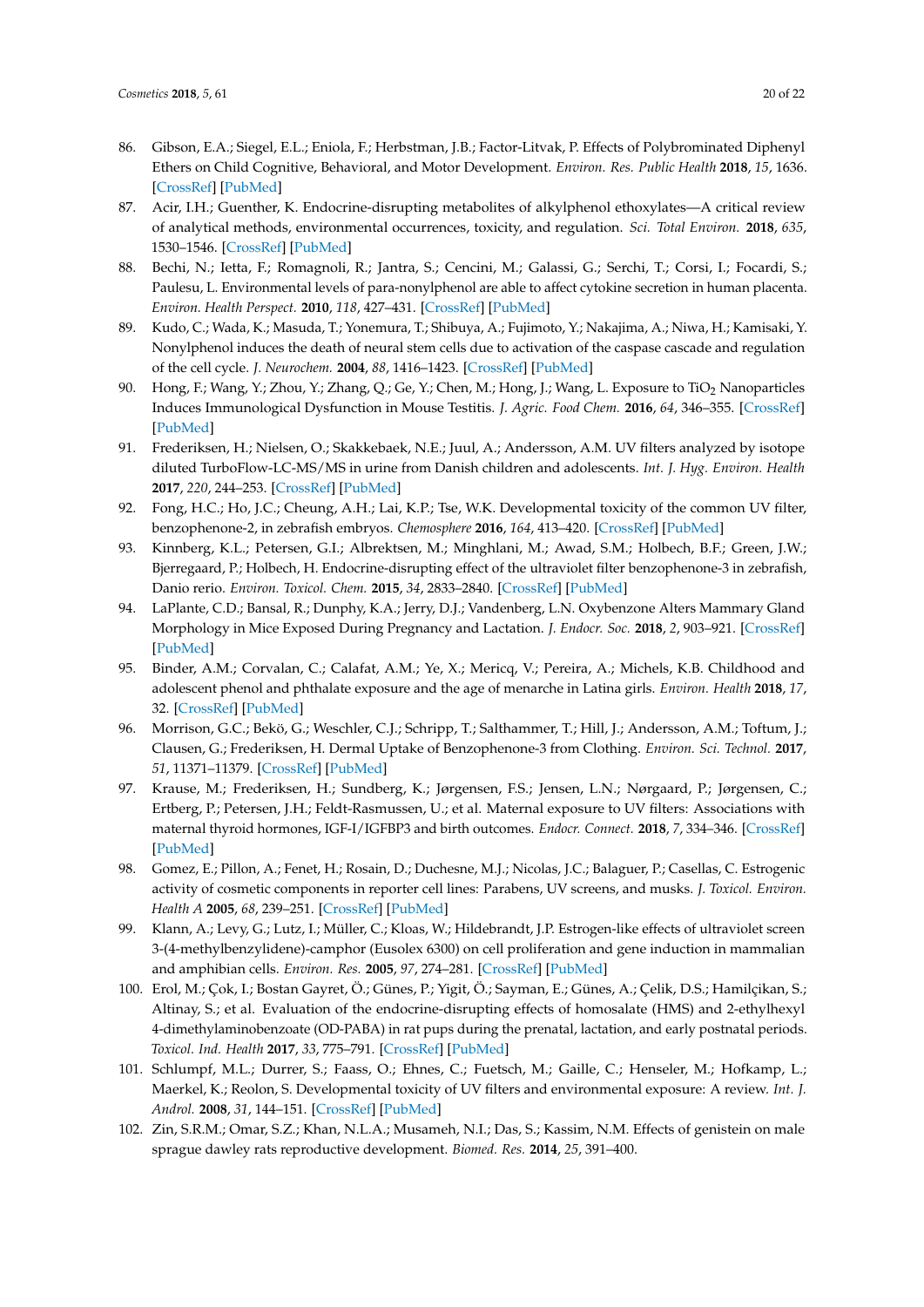- <span id="page-19-0"></span>86. Gibson, E.A.; Siegel, E.L.; Eniola, F.; Herbstman, J.B.; Factor-Litvak, P. Effects of Polybrominated Diphenyl Ethers on Child Cognitive, Behavioral, and Motor Development. *Environ. Res. Public Health* **2018**, *15*, 1636. [\[CrossRef\]](http://dx.doi.org/10.3390/ijerph15081636) [\[PubMed\]](http://www.ncbi.nlm.nih.gov/pubmed/30072620)
- <span id="page-19-1"></span>87. Acir, I.H.; Guenther, K. Endocrine-disrupting metabolites of alkylphenol ethoxylates—A critical review of analytical methods, environmental occurrences, toxicity, and regulation. *Sci. Total Environ.* **2018**, *635*, 1530–1546. [\[CrossRef\]](http://dx.doi.org/10.1016/j.scitotenv.2018.04.079) [\[PubMed\]](http://www.ncbi.nlm.nih.gov/pubmed/29874777)
- <span id="page-19-2"></span>88. Bechi, N.; Ietta, F.; Romagnoli, R.; Jantra, S.; Cencini, M.; Galassi, G.; Serchi, T.; Corsi, I.; Focardi, S.; Paulesu, L. Environmental levels of para-nonylphenol are able to affect cytokine secretion in human placenta. *Environ. Health Perspect.* **2010**, *118*, 427–431. [\[CrossRef\]](http://dx.doi.org/10.1289/ehp.0900882) [\[PubMed\]](http://www.ncbi.nlm.nih.gov/pubmed/20194071)
- <span id="page-19-3"></span>89. Kudo, C.; Wada, K.; Masuda, T.; Yonemura, T.; Shibuya, A.; Fujimoto, Y.; Nakajima, A.; Niwa, H.; Kamisaki, Y. Nonylphenol induces the death of neural stem cells due to activation of the caspase cascade and regulation of the cell cycle. *J. Neurochem.* **2004**, *88*, 1416–1423. [\[CrossRef\]](http://dx.doi.org/10.1046/j.1471-4159.2003.02270.x) [\[PubMed\]](http://www.ncbi.nlm.nih.gov/pubmed/15009642)
- <span id="page-19-4"></span>90. Hong, F.; Wang, Y.; Zhou, Y.; Zhang, Q.; Ge, Y.; Chen, M.; Hong, J.; Wang, L. Exposure to TiO<sub>2</sub> Nanoparticles Induces Immunological Dysfunction in Mouse Testitis. *J. Agric. Food Chem.* **2016**, *64*, 346–355. [\[CrossRef\]](http://dx.doi.org/10.1021/acs.jafc.5b05262) [\[PubMed\]](http://www.ncbi.nlm.nih.gov/pubmed/26720763)
- <span id="page-19-5"></span>91. Frederiksen, H.; Nielsen, O.; Skakkebaek, N.E.; Juul, A.; Andersson, A.M. UV filters analyzed by isotope diluted TurboFlow-LC-MS/MS in urine from Danish children and adolescents. *Int. J. Hyg. Environ. Health* **2017**, *220*, 244–253. [\[CrossRef\]](http://dx.doi.org/10.1016/j.ijheh.2016.08.005) [\[PubMed\]](http://www.ncbi.nlm.nih.gov/pubmed/27637469)
- <span id="page-19-6"></span>92. Fong, H.C.; Ho, J.C.; Cheung, A.H.; Lai, K.P.; Tse, W.K. Developmental toxicity of the common UV filter, benzophenone-2, in zebrafish embryos. *Chemosphere* **2016**, *164*, 413–420. [\[CrossRef\]](http://dx.doi.org/10.1016/j.chemosphere.2016.08.073) [\[PubMed\]](http://www.ncbi.nlm.nih.gov/pubmed/27599007)
- <span id="page-19-7"></span>93. Kinnberg, K.L.; Petersen, G.I.; Albrektsen, M.; Minghlani, M.; Awad, S.M.; Holbech, B.F.; Green, J.W.; Bjerregaard, P.; Holbech, H. Endocrine-disrupting effect of the ultraviolet filter benzophenone-3 in zebrafish, Danio rerio. *Environ. Toxicol. Chem.* **2015**, *34*, 2833–2840. [\[CrossRef\]](http://dx.doi.org/10.1002/etc.3129) [\[PubMed\]](http://www.ncbi.nlm.nih.gov/pubmed/26118430)
- <span id="page-19-8"></span>94. LaPlante, C.D.; Bansal, R.; Dunphy, K.A.; Jerry, D.J.; Vandenberg, L.N. Oxybenzone Alters Mammary Gland Morphology in Mice Exposed During Pregnancy and Lactation. *J. Endocr. Soc.* **2018**, *2*, 903–921. [\[CrossRef\]](http://dx.doi.org/10.1210/js.2018-00024) [\[PubMed\]](http://www.ncbi.nlm.nih.gov/pubmed/30057971)
- <span id="page-19-9"></span>95. Binder, A.M.; Corvalan, C.; Calafat, A.M.; Ye, X.; Mericq, V.; Pereira, A.; Michels, K.B. Childhood and adolescent phenol and phthalate exposure and the age of menarche in Latina girls. *Environ. Health* **2018**, *17*, 32. [\[CrossRef\]](http://dx.doi.org/10.1186/s12940-018-0376-z) [\[PubMed\]](http://www.ncbi.nlm.nih.gov/pubmed/29615064)
- <span id="page-19-10"></span>96. Morrison, G.C.; Bekö, G.; Weschler, C.J.; Schripp, T.; Salthammer, T.; Hill, J.; Andersson, A.M.; Toftum, J.; Clausen, G.; Frederiksen, H. Dermal Uptake of Benzophenone-3 from Clothing. *Environ. Sci. Technol.* **2017**, *51*, 11371–11379. [\[CrossRef\]](http://dx.doi.org/10.1021/acs.est.7b02623) [\[PubMed\]](http://www.ncbi.nlm.nih.gov/pubmed/28858503)
- <span id="page-19-11"></span>97. Krause, M.; Frederiksen, H.; Sundberg, K.; Jørgensen, F.S.; Jensen, L.N.; Nørgaard, P.; Jørgensen, C.; Ertberg, P.; Petersen, J.H.; Feldt-Rasmussen, U.; et al. Maternal exposure to UV filters: Associations with maternal thyroid hormones, IGF-I/IGFBP3 and birth outcomes. *Endocr. Connect.* **2018**, *7*, 334–346. [\[CrossRef\]](http://dx.doi.org/10.1530/EC-17-0375) [\[PubMed\]](http://www.ncbi.nlm.nih.gov/pubmed/29362228)
- <span id="page-19-12"></span>98. Gomez, E.; Pillon, A.; Fenet, H.; Rosain, D.; Duchesne, M.J.; Nicolas, J.C.; Balaguer, P.; Casellas, C. Estrogenic activity of cosmetic components in reporter cell lines: Parabens, UV screens, and musks. *J. Toxicol. Environ. Health A* **2005**, *68*, 239–251. [\[CrossRef\]](http://dx.doi.org/10.1080/15287390590895054) [\[PubMed\]](http://www.ncbi.nlm.nih.gov/pubmed/15799449)
- <span id="page-19-13"></span>99. Klann, A.; Levy, G.; Lutz, I.; Müller, C.; Kloas, W.; Hildebrandt, J.P. Estrogen-like effects of ultraviolet screen 3-(4-methylbenzylidene)-camphor (Eusolex 6300) on cell proliferation and gene induction in mammalian and amphibian cells. *Environ. Res.* **2005**, *97*, 274–281. [\[CrossRef\]](http://dx.doi.org/10.1016/j.envres.2004.07.004) [\[PubMed\]](http://www.ncbi.nlm.nih.gov/pubmed/15589235)
- <span id="page-19-14"></span>100. Erol, M.; Çok, I.; Bostan Gayret, Ö.; Günes, P.; Yigit, Ö.; Sayman, E.; Günes, A.; Çelik, D.S.; Hamilçikan, S.; Altinay, S.; et al. Evaluation of the endocrine-disrupting effects of homosalate (HMS) and 2-ethylhexyl 4-dimethylaminobenzoate (OD-PABA) in rat pups during the prenatal, lactation, and early postnatal periods. *Toxicol. Ind. Health* **2017**, *33*, 775–791. [\[CrossRef\]](http://dx.doi.org/10.1177/0748233717718974) [\[PubMed\]](http://www.ncbi.nlm.nih.gov/pubmed/28879804)
- <span id="page-19-15"></span>101. Schlumpf, M.L.; Durrer, S.; Faass, O.; Ehnes, C.; Fuetsch, M.; Gaille, C.; Henseler, M.; Hofkamp, L.; Maerkel, K.; Reolon, S. Developmental toxicity of UV filters and environmental exposure: A review. *Int. J. Androl.* **2008**, *31*, 144–151. [\[CrossRef\]](http://dx.doi.org/10.1111/j.1365-2605.2007.00856.x) [\[PubMed\]](http://www.ncbi.nlm.nih.gov/pubmed/18194281)
- <span id="page-19-16"></span>102. Zin, S.R.M.; Omar, S.Z.; Khan, N.L.A.; Musameh, N.I.; Das, S.; Kassim, N.M. Effects of genistein on male sprague dawley rats reproductive development. *Biomed. Res.* **2014**, *25*, 391–400.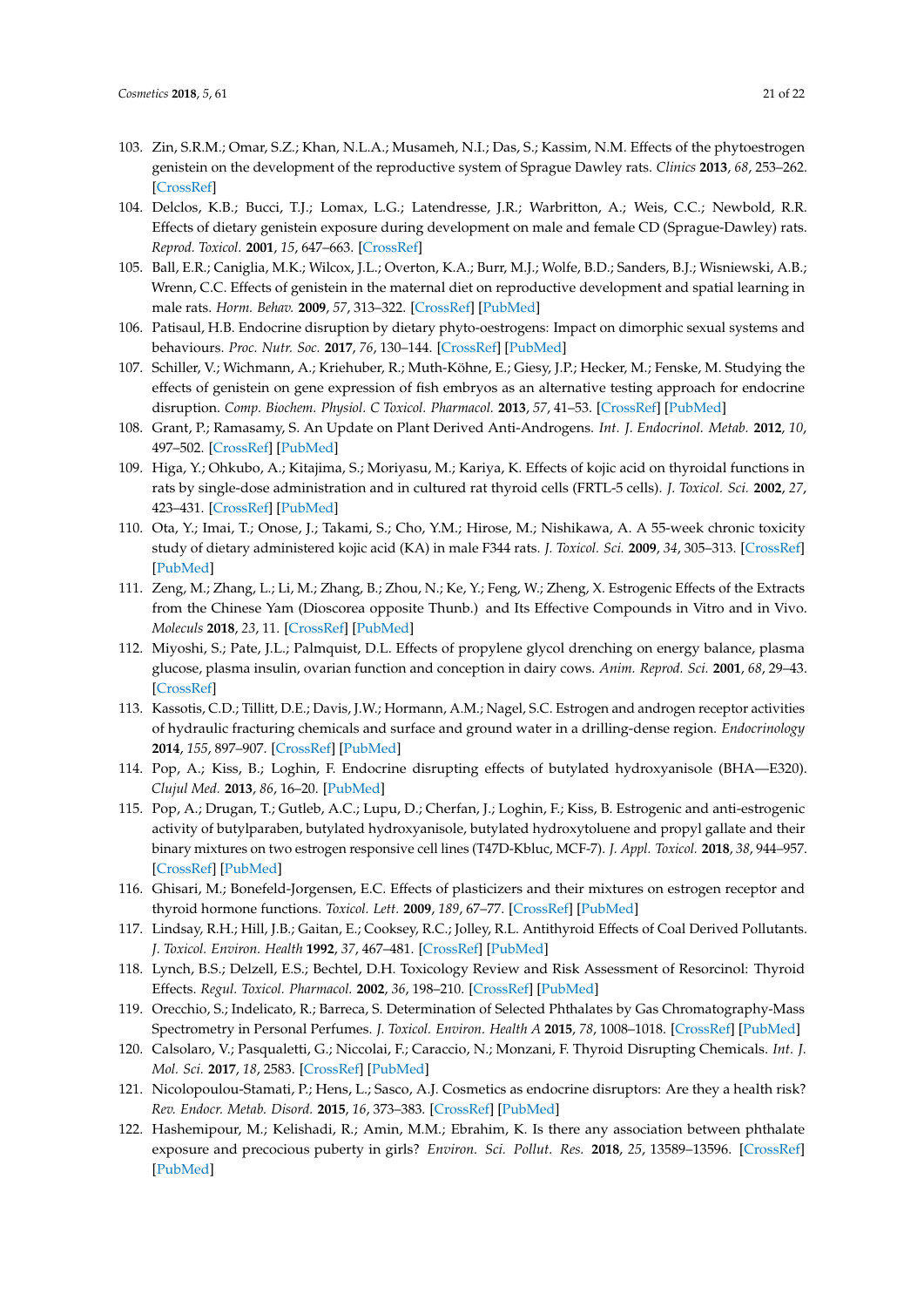- <span id="page-20-0"></span>103. Zin, S.R.M.; Omar, S.Z.; Khan, N.L.A.; Musameh, N.I.; Das, S.; Kassim, N.M. Effects of the phytoestrogen genistein on the development of the reproductive system of Sprague Dawley rats. *Clinics* **2013**, *68*, 253–262. [\[CrossRef\]](http://dx.doi.org/10.6061/clinics/2013(02)OA21)
- <span id="page-20-1"></span>104. Delclos, K.B.; Bucci, T.J.; Lomax, L.G.; Latendresse, J.R.; Warbritton, A.; Weis, C.C.; Newbold, R.R. Effects of dietary genistein exposure during development on male and female CD (Sprague-Dawley) rats. *Reprod. Toxicol.* **2001**, *15*, 647–663. [\[CrossRef\]](http://dx.doi.org/10.1016/S0890-6238(01)00177-0)
- <span id="page-20-2"></span>105. Ball, E.R.; Caniglia, M.K.; Wilcox, J.L.; Overton, K.A.; Burr, M.J.; Wolfe, B.D.; Sanders, B.J.; Wisniewski, A.B.; Wrenn, C.C. Effects of genistein in the maternal diet on reproductive development and spatial learning in male rats. *Horm. Behav.* **2009**, *57*, 313–322. [\[CrossRef\]](http://dx.doi.org/10.1016/j.yhbeh.2009.12.013) [\[PubMed\]](http://www.ncbi.nlm.nih.gov/pubmed/20053350)
- <span id="page-20-3"></span>106. Patisaul, H.B. Endocrine disruption by dietary phyto-oestrogens: Impact on dimorphic sexual systems and behaviours. *Proc. Nutr. Soc.* **2017**, *76*, 130–144. [\[CrossRef\]](http://dx.doi.org/10.1017/S0029665116000677) [\[PubMed\]](http://www.ncbi.nlm.nih.gov/pubmed/27389644)
- <span id="page-20-4"></span>107. Schiller, V.; Wichmann, A.; Kriehuber, R.; Muth-Köhne, E.; Giesy, J.P.; Hecker, M.; Fenske, M. Studying the effects of genistein on gene expression of fish embryos as an alternative testing approach for endocrine disruption. *Comp. Biochem. Physiol. C Toxicol. Pharmacol.* **2013**, *57*, 41–53. [\[CrossRef\]](http://dx.doi.org/10.1016/j.cbpc.2012.09.005) [\[PubMed\]](http://www.ncbi.nlm.nih.gov/pubmed/23017276)
- <span id="page-20-5"></span>108. Grant, P.; Ramasamy, S. An Update on Plant Derived Anti-Androgens. *Int. J. Endocrinol. Metab.* **2012**, *10*, 497–502. [\[CrossRef\]](http://dx.doi.org/10.5812/ijem.3644) [\[PubMed\]](http://www.ncbi.nlm.nih.gov/pubmed/23843810)
- <span id="page-20-6"></span>109. Higa, Y.; Ohkubo, A.; Kitajima, S.; Moriyasu, M.; Kariya, K. Effects of kojic acid on thyroidal functions in rats by single-dose administration and in cultured rat thyroid cells (FRTL-5 cells). *J. Toxicol. Sci.* **2002**, *27*, 423–431. [\[CrossRef\]](http://dx.doi.org/10.2131/jts.27.423) [\[PubMed\]](http://www.ncbi.nlm.nih.gov/pubmed/12533912)
- <span id="page-20-7"></span>110. Ota, Y.; Imai, T.; Onose, J.; Takami, S.; Cho, Y.M.; Hirose, M.; Nishikawa, A. A 55-week chronic toxicity study of dietary administered kojic acid (KA) in male F344 rats. *J. Toxicol. Sci.* **2009**, *34*, 305–313. [\[CrossRef\]](http://dx.doi.org/10.2131/jts.34.305) [\[PubMed\]](http://www.ncbi.nlm.nih.gov/pubmed/19483384)
- <span id="page-20-8"></span>111. Zeng, M.; Zhang, L.; Li, M.; Zhang, B.; Zhou, N.; Ke, Y.; Feng, W.; Zheng, X. Estrogenic Effects of the Extracts from the Chinese Yam (Dioscorea opposite Thunb.) and Its Effective Compounds in Vitro and in Vivo. *Moleculs* **2018**, *23*, 11. [\[CrossRef\]](http://dx.doi.org/10.3390/molecules23020011) [\[PubMed\]](http://www.ncbi.nlm.nih.gov/pubmed/29360751)
- <span id="page-20-9"></span>112. Miyoshi, S.; Pate, J.L.; Palmquist, D.L. Effects of propylene glycol drenching on energy balance, plasma glucose, plasma insulin, ovarian function and conception in dairy cows. *Anim. Reprod. Sci.* **2001**, *68*, 29–43. [\[CrossRef\]](http://dx.doi.org/10.1016/S0378-4320(01)00137-3)
- <span id="page-20-10"></span>113. Kassotis, C.D.; Tillitt, D.E.; Davis, J.W.; Hormann, A.M.; Nagel, S.C. Estrogen and androgen receptor activities of hydraulic fracturing chemicals and surface and ground water in a drilling-dense region. *Endocrinology* **2014**, *155*, 897–907. [\[CrossRef\]](http://dx.doi.org/10.1210/en.2013-1697) [\[PubMed\]](http://www.ncbi.nlm.nih.gov/pubmed/24424034)
- <span id="page-20-11"></span>114. Pop, A.; Kiss, B.; Loghin, F. Endocrine disrupting effects of butylated hydroxyanisole (BHA—E320). *Clujul Med.* **2013**, *86*, 16–20. [\[PubMed\]](http://www.ncbi.nlm.nih.gov/pubmed/26527908)
- <span id="page-20-12"></span>115. Pop, A.; Drugan, T.; Gutleb, A.C.; Lupu, D.; Cherfan, J.; Loghin, F.; Kiss, B. Estrogenic and anti-estrogenic activity of butylparaben, butylated hydroxyanisole, butylated hydroxytoluene and propyl gallate and their binary mixtures on two estrogen responsive cell lines (T47D-Kbluc, MCF-7). *J. Appl. Toxicol.* **2018**, *38*, 944–957. [\[CrossRef\]](http://dx.doi.org/10.1002/jat.3601) [\[PubMed\]](http://www.ncbi.nlm.nih.gov/pubmed/29460325)
- <span id="page-20-13"></span>116. Ghisari, M.; Bonefeld-Jorgensen, E.C. Effects of plasticizers and their mixtures on estrogen receptor and thyroid hormone functions. *Toxicol. Lett.* **2009**, *189*, 67–77. [\[CrossRef\]](http://dx.doi.org/10.1016/j.toxlet.2009.05.004) [\[PubMed\]](http://www.ncbi.nlm.nih.gov/pubmed/19463926)
- 117. Lindsay, R.H.; Hill, J.B.; Gaitan, E.; Cooksey, R.C.; Jolley, R.L. Antithyroid Effects of Coal Derived Pollutants. *J. Toxicol. Environ. Health* **1992**, *37*, 467–481. [\[CrossRef\]](http://dx.doi.org/10.1080/15287399209531686) [\[PubMed\]](http://www.ncbi.nlm.nih.gov/pubmed/1281508)
- <span id="page-20-14"></span>118. Lynch, B.S.; Delzell, E.S.; Bechtel, D.H. Toxicology Review and Risk Assessment of Resorcinol: Thyroid Effects. *Regul. Toxicol. Pharmacol.* **2002**, *36*, 198–210. [\[CrossRef\]](http://dx.doi.org/10.1006/rtph.2002.1585) [\[PubMed\]](http://www.ncbi.nlm.nih.gov/pubmed/12460754)
- <span id="page-20-15"></span>119. Orecchio, S.; Indelicato, R.; Barreca, S. Determination of Selected Phthalates by Gas Chromatography-Mass Spectrometry in Personal Perfumes. *J. Toxicol. Environ. Health A* **2015**, *78*, 1008–1018. [\[CrossRef\]](http://dx.doi.org/10.1080/15287394.2015.1021433) [\[PubMed\]](http://www.ncbi.nlm.nih.gov/pubmed/26262443)
- <span id="page-20-16"></span>120. Calsolaro, V.; Pasqualetti, G.; Niccolai, F.; Caraccio, N.; Monzani, F. Thyroid Disrupting Chemicals. *Int. J. Mol. Sci.* **2017**, *18*, 2583. [\[CrossRef\]](http://dx.doi.org/10.3390/ijms18122583) [\[PubMed\]](http://www.ncbi.nlm.nih.gov/pubmed/29194390)
- <span id="page-20-17"></span>121. Nicolopoulou-Stamati, P.; Hens, L.; Sasco, A.J. Cosmetics as endocrine disruptors: Are they a health risk? *Rev. Endocr. Metab. Disord.* **2015**, *16*, 373–383. [\[CrossRef\]](http://dx.doi.org/10.1007/s11154-016-9329-4) [\[PubMed\]](http://www.ncbi.nlm.nih.gov/pubmed/26825071)
- <span id="page-20-18"></span>122. Hashemipour, M.; Kelishadi, R.; Amin, M.M.; Ebrahim, K. Is there any association between phthalate exposure and precocious puberty in girls? *Environ. Sci. Pollut. Res.* **2018**, *25*, 13589–13596. [\[CrossRef\]](http://dx.doi.org/10.1007/s11356-018-1567-4) [\[PubMed\]](http://www.ncbi.nlm.nih.gov/pubmed/29497942)